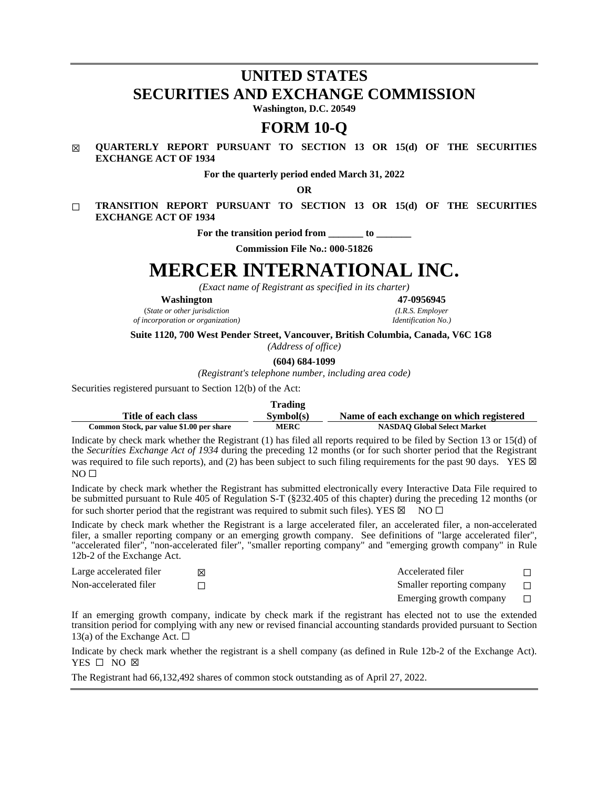# **UNITED STATES SECURITIES AND EXCHANGE COMMISSION**

**Washington, D.C. 20549**

# **FORM 10-Q**

# ☒ **QUARTERLY REPORT PURSUANT TO SECTION 13 OR 15(d) OF THE SECURITIES EXCHANGE ACT OF 1934**

**For the quarterly period ended March 31, 2022**

**OR**

☐ **TRANSITION REPORT PURSUANT TO SECTION 13 OR 15(d) OF THE SECURITIES EXCHANGE ACT OF 1934**

For the transition period from to

**Commission File No.: 000-51826**

# **MERCER INTERNATIONAL INC.**

*(Exact name of Registrant as specified in its charter)*

**Washington 47-0956945**

(*State or other jurisdiction (I.R.S. Employer*  $of incorporation$  *or organization*)

**Suite 1120, 700 West Pender Street, Vancouver, British Columbia, Canada, V6C 1G8**

*(Address of office)*

**(604) 684-1099**

*(Registrant's telephone number, including area code)*

Securities registered pursuant to Section 12(b) of the Act:

|                                          | <b>Trading</b> |                                           |
|------------------------------------------|----------------|-------------------------------------------|
| Title of each class                      | Sumbol(s)      | Name of each exchange on which registered |
| Common Stock, par value \$1.00 per share | <b>MERC</b>    | <b>NASDAO Global Select Market</b>        |

Indicate by check mark whether the Registrant (1) has filed all reports required to be filed by Section 13 or 15(d) of the *Securities Exchange Act of 1934* during the preceding 12 months (or for such shorter period that the Registrant was required to file such reports), and (2) has been subject to such filing requirements for the past 90 days. YES  $\boxtimes$  $NO<sub>II</sub>$ 

Indicate by check mark whether the Registrant has submitted electronically every Interactive Data File required to be submitted pursuant to Rule 405 of Regulation S-T (§232.405 of this chapter) during the preceding 12 months (or for such shorter period that the registrant was required to submit such files). YES  $\boxtimes$  NO  $\Box$ 

Indicate by check mark whether the Registrant is a large accelerated filer, an accelerated filer, a non-accelerated filer, a smaller reporting company or an emerging growth company. See definitions of "large accelerated filer", "accelerated filer", "non-accelerated filer", "smaller reporting company" and "emerging growth company" in Rule 12b-2 of the Exchange Act.

| Large accelerated filer | Accelerated filer         |        |
|-------------------------|---------------------------|--------|
| Non-accelerated filer   | Smaller reporting company | $\Box$ |
|                         | Emerging growth company   | $\Box$ |

If an emerging growth company, indicate by check mark if the registrant has elected not to use the extended transition period for complying with any new or revised financial accounting standards provided pursuant to Section 13(a) of the Exchange Act.  $\Box$ 

Indicate by check mark whether the registrant is a shell company (as defined in Rule 12b-2 of the Exchange Act). YES □ NO ⊠

The Registrant had 66,132,492 shares of common stock outstanding as of April 27, 2022.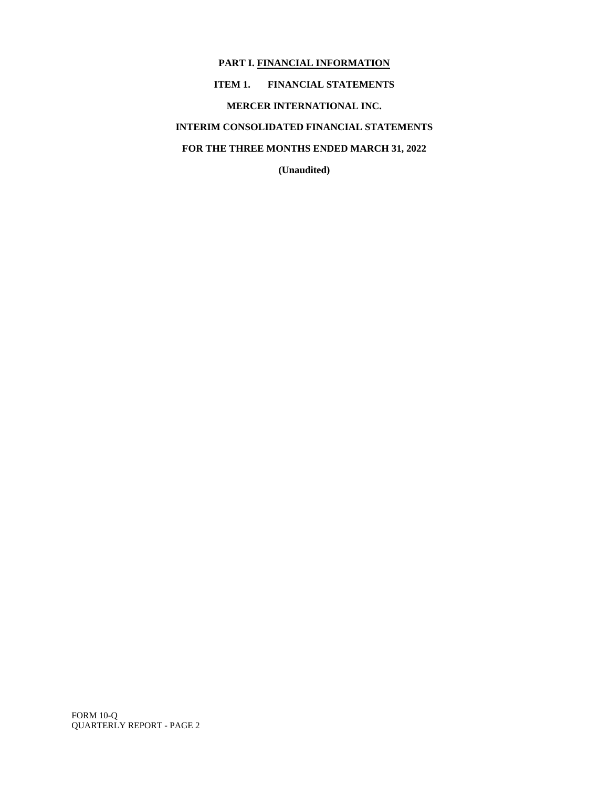# **PART I. FINANCIAL INFORMATION ITEM 1. FINANCIAL STATEMENTS MERCER INTERNATIONAL INC. INTERIM CONSOLIDATED FINANCIAL STATEMENTS FOR THE THREE MONTHS ENDED MARCH 31, 2022**

**(Unaudited)**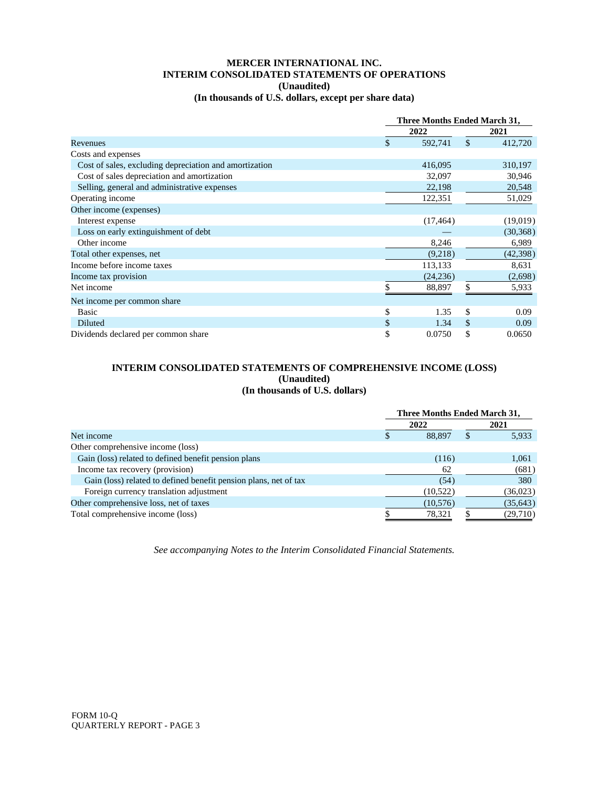# **MERCER INTERNATIONAL INC. INTERIM CONSOLIDATED STATEMENTS OF OPERATIONS (Unaudited) (In thousands of U.S. dollars, except per share data)**

|                                                        | Three Months Ended March 31, |           |               |           |
|--------------------------------------------------------|------------------------------|-----------|---------------|-----------|
|                                                        |                              | 2022      |               | 2021      |
| Revenues                                               | \$                           | 592,741   | $\mathcal{S}$ | 412,720   |
| Costs and expenses                                     |                              |           |               |           |
| Cost of sales, excluding depreciation and amortization |                              | 416,095   |               | 310,197   |
| Cost of sales depreciation and amortization            |                              | 32,097    |               | 30,946    |
| Selling, general and administrative expenses           |                              | 22,198    |               | 20,548    |
| Operating income                                       |                              | 122,351   |               | 51,029    |
| Other income (expenses)                                |                              |           |               |           |
| Interest expense                                       |                              | (17, 464) |               | (19,019)  |
| Loss on early extinguishment of debt                   |                              |           |               | (30, 368) |
| Other income                                           |                              | 8,246     |               | 6,989     |
| Total other expenses, net                              |                              | (9,218)   |               | (42, 398) |
| Income before income taxes                             |                              | 113,133   |               | 8,631     |
| Income tax provision                                   |                              | (24, 236) |               | (2,698)   |
| Net income                                             |                              | 88,897    | \$            | 5,933     |
| Net income per common share.                           |                              |           |               |           |
| <b>Basic</b>                                           | \$                           | 1.35      | \$            | 0.09      |
| <b>Diluted</b>                                         |                              | 1.34      | \$            | 0.09      |
| Dividends declared per common share                    | \$                           | 0.0750    | \$            | 0.0650    |

# **INTERIM CONSOLIDATED STATEMENTS OF COMPREHENSIVE INCOME (LOSS) (Unaudited) (In thousands of U.S. dollars)**

|                                                                  | <b>Three Months Ended March 31,</b> |          |  |           |
|------------------------------------------------------------------|-------------------------------------|----------|--|-----------|
|                                                                  |                                     | 2022     |  | 2021      |
| Net income                                                       |                                     | 88.897   |  | 5,933     |
| Other comprehensive income (loss)                                |                                     |          |  |           |
| Gain (loss) related to defined benefit pension plans             |                                     | (116)    |  | 1,061     |
| Income tax recovery (provision)                                  |                                     | 62       |  | (681)     |
| Gain (loss) related to defined benefit pension plans, net of tax |                                     | (54)     |  | 380       |
| Foreign currency translation adjustment                          |                                     | (10,522) |  | (36, 023) |
| Other comprehensive loss, net of taxes                           |                                     | (10,576) |  | (35, 643) |
| Total comprehensive income (loss)                                |                                     | 78,321   |  | (29,710)  |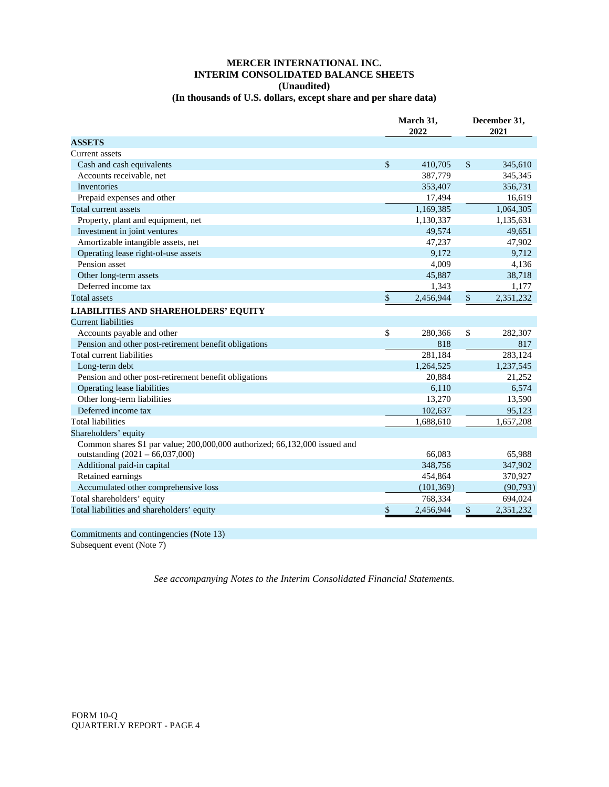# **MERCER INTERNATIONAL INC. INTERIM CONSOLIDATED BALANCE SHEETS (Unaudited)**

# **(In thousands of U.S. dollars, except share and per share data)**

|                                                                            |              | March 31,<br>2022 |              | December 31,<br>2021 |
|----------------------------------------------------------------------------|--------------|-------------------|--------------|----------------------|
| <b>ASSETS</b>                                                              |              |                   |              |                      |
| Current assets                                                             |              |                   |              |                      |
| Cash and cash equivalents                                                  | $\mathbb{S}$ | 410,705           | \$           | 345,610              |
| Accounts receivable, net                                                   |              | 387,779           |              | 345,345              |
| <b>Inventories</b>                                                         |              | 353,407           |              | 356,731              |
| Prepaid expenses and other                                                 |              | 17,494            |              | 16,619               |
| Total current assets                                                       |              | 1,169,385         |              | 1,064,305            |
| Property, plant and equipment, net                                         |              | 1,130,337         |              | 1,135,631            |
| Investment in joint ventures                                               |              | 49,574            |              | 49,651               |
| Amortizable intangible assets, net                                         |              | 47,237            |              | 47,902               |
| Operating lease right-of-use assets                                        |              | 9.172             |              | 9,712                |
| Pension asset                                                              |              | 4,009             |              | 4,136                |
| Other long-term assets                                                     |              | 45,887            |              | 38,718               |
| Deferred income tax                                                        |              | 1,343             |              | 1,177                |
| <b>Total assets</b>                                                        | \$           | 2,456,944         | $\mathbb{S}$ | 2,351,232            |
| <b>LIABILITIES AND SHAREHOLDERS' EQUITY</b>                                |              |                   |              |                      |
| Current liabilities                                                        |              |                   |              |                      |
| Accounts payable and other                                                 | \$           | 280,366           | \$           | 282,307              |
| Pension and other post-retirement benefit obligations                      |              | 818               |              | 817                  |
| Total current liabilities                                                  |              | 281,184           |              | 283,124              |
| Long-term debt                                                             |              | 1,264,525         |              | 1,237,545            |
| Pension and other post-retirement benefit obligations                      |              | 20,884            |              | 21,252               |
| Operating lease liabilities                                                |              | 6,110             |              | 6,574                |
| Other long-term liabilities                                                |              | 13,270            |              | 13,590               |
| Deferred income tax                                                        |              | 102,637           |              | 95,123               |
| <b>Total liabilities</b>                                                   |              | 1,688,610         |              | 1,657,208            |
| Shareholders' equity                                                       |              |                   |              |                      |
| Common shares \$1 par value; 200,000,000 authorized; 66,132,000 issued and |              |                   |              |                      |
| outstanding (2021 - 66,037,000)                                            |              | 66,083            |              | 65,988               |
| Additional paid-in capital                                                 |              | 348,756           |              | 347,902              |
| Retained earnings                                                          |              | 454,864           |              | 370,927              |
| Accumulated other comprehensive loss                                       |              | (101, 369)        |              | (90, 793)            |
| Total shareholders' equity                                                 |              | 768,334           |              | 694,024              |
| Total liabilities and shareholders' equity                                 | \$           | 2,456,944         | \$           | 2,351,232            |

Commitments and contingencies (Note 13)

Subsequent event (Note 7)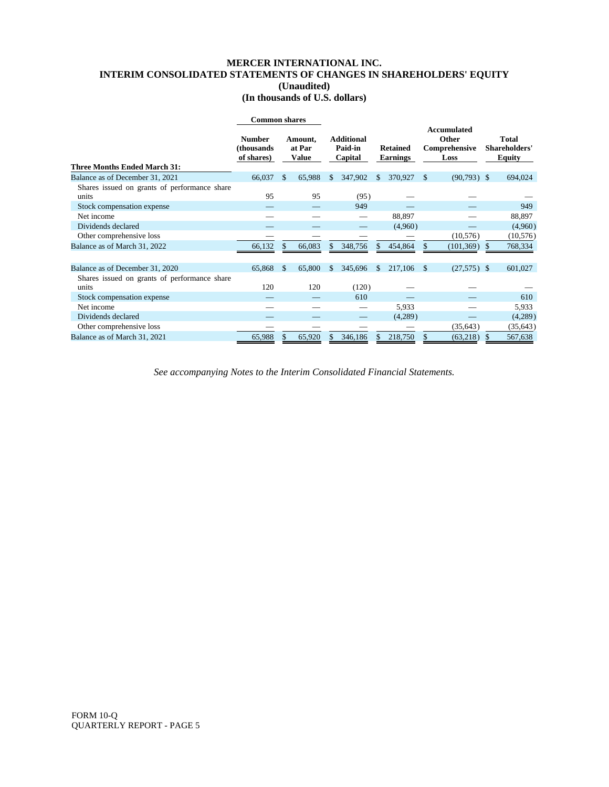# **MERCER INTERNATIONAL INC. INTERIM CONSOLIDATED STATEMENTS OF CHANGES IN SHAREHOLDERS' EQUITY (Unaudited) (In thousands of U.S. dollars)**

|                                                       | <b>Common shares</b>                       |               |                            |     |                                         |              |                                    |               |                                                             |                                         |
|-------------------------------------------------------|--------------------------------------------|---------------|----------------------------|-----|-----------------------------------------|--------------|------------------------------------|---------------|-------------------------------------------------------------|-----------------------------------------|
| Three Months Ended March 31:                          | <b>Number</b><br>(thousands)<br>of shares) |               | Amount,<br>at Par<br>Value |     | <b>Additional</b><br>Paid-in<br>Capital |              | <b>Retained</b><br><b>Earnings</b> |               | <b>Accumulated</b><br><b>Other</b><br>Comprehensive<br>Loss | Total<br>Shareholders'<br><b>Equity</b> |
| Balance as of December 31, 2021                       | 66,037                                     | <sup>\$</sup> | 65,988                     | \$. | 347,902                                 | \$.          | 370,927                            | $\mathcal{S}$ | $(90,793)$ \$                                               | 694,024                                 |
| Shares issued on grants of performance share<br>units | 95                                         |               | 95                         |     | (95)                                    |              |                                    |               |                                                             |                                         |
| Stock compensation expense                            |                                            |               |                            |     | 949                                     |              |                                    |               |                                                             | 949                                     |
| Net income                                            |                                            |               |                            |     |                                         |              | 88,897                             |               |                                                             | 88,897                                  |
| Dividends declared                                    |                                            |               |                            |     |                                         |              | (4,960)                            |               |                                                             | (4,960)                                 |
| Other comprehensive loss                              |                                            |               |                            |     |                                         |              |                                    |               | (10, 576)                                                   | (10, 576)                               |
| Balance as of March 31, 2022                          | 66,132                                     | \$            | 66,083                     | \$. | 348,756                                 | S.           | 454,864                            |               | (101, 369)                                                  | 768,334                                 |
| Balance as of December 31, 2020                       | 65,868                                     | -S            | 65,800                     | -S  | 345,696                                 | $\mathbb{S}$ | 217,106 \$                         |               | $(27,575)$ \$                                               | 601,027                                 |
| Shares issued on grants of performance share<br>units | 120                                        |               | 120                        |     | (120)                                   |              |                                    |               |                                                             |                                         |
| Stock compensation expense                            |                                            |               |                            |     | 610                                     |              |                                    |               |                                                             | 610                                     |
| Net income                                            |                                            |               |                            |     |                                         |              | 5,933                              |               |                                                             | 5,933                                   |
| Dividends declared                                    |                                            |               |                            |     |                                         |              | (4,289)                            |               |                                                             | (4,289)                                 |
| Other comprehensive loss                              |                                            |               |                            |     |                                         |              |                                    |               | (35, 643)                                                   | (35, 643)                               |
| Balance as of March 31, 2021                          | 65.988                                     | \$            | 65.920                     |     | 346.186                                 | S.           | 218,750                            |               | (63,218)                                                    | 567,638                                 |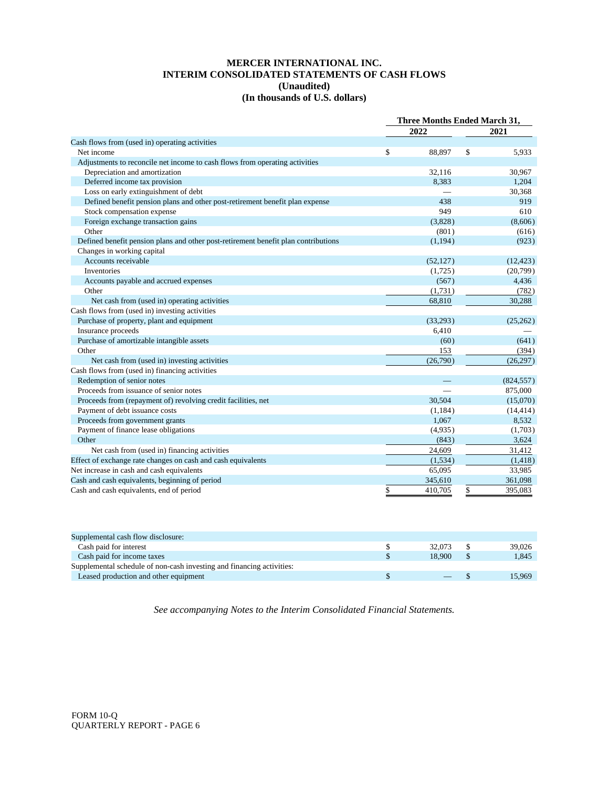# **MERCER INTERNATIONAL INC. INTERIM CONSOLIDATED STATEMENTS OF CASH FLOWS (Unaudited) (In thousands of U.S. dollars)**

|                                                                                    | <b>Three Months Ended March 31.</b> |           |    |            |
|------------------------------------------------------------------------------------|-------------------------------------|-----------|----|------------|
|                                                                                    | 2022                                |           |    | 2021       |
| Cash flows from (used in) operating activities                                     |                                     |           |    |            |
| Net income                                                                         | \$                                  | 88,897    | \$ | 5,933      |
| Adjustments to reconcile net income to cash flows from operating activities        |                                     |           |    |            |
| Depreciation and amortization                                                      |                                     | 32,116    |    | 30.967     |
| Deferred income tax provision                                                      |                                     | 8,383     |    | 1,204      |
| Loss on early extinguishment of debt                                               |                                     |           |    | 30,368     |
| Defined benefit pension plans and other post-retirement benefit plan expense       |                                     | 438       |    | 919        |
| Stock compensation expense                                                         |                                     | 949       |    | 610        |
| Foreign exchange transaction gains                                                 |                                     | (3,828)   |    | (8,606)    |
| Other                                                                              |                                     | (801)     |    | (616)      |
| Defined benefit pension plans and other post-retirement benefit plan contributions |                                     | (1, 194)  |    | (923)      |
| Changes in working capital                                                         |                                     |           |    |            |
| Accounts receivable                                                                |                                     | (52, 127) |    | (12, 423)  |
| Inventories                                                                        |                                     | (1,725)   |    | (20,799)   |
| Accounts payable and accrued expenses                                              |                                     | (567)     |    | 4,436      |
| Other                                                                              |                                     | (1,731)   |    | (782)      |
| Net cash from (used in) operating activities                                       |                                     | 68,810    |    | 30,288     |
| Cash flows from (used in) investing activities                                     |                                     |           |    |            |
| Purchase of property, plant and equipment                                          |                                     | (33,293)  |    | (25, 262)  |
| Insurance proceeds                                                                 |                                     | 6,410     |    |            |
| Purchase of amortizable intangible assets                                          |                                     | (60)      |    | (641)      |
| Other                                                                              |                                     | 153       |    | (394)      |
| Net cash from (used in) investing activities                                       |                                     | (26,790)  |    | (26, 297)  |
| Cash flows from (used in) financing activities                                     |                                     |           |    |            |
| Redemption of senior notes                                                         |                                     |           |    | (824, 557) |
| Proceeds from issuance of senior notes                                             |                                     |           |    | 875,000    |
| Proceeds from (repayment of) revolving credit facilities, net                      |                                     | 30,504    |    | (15,070)   |
| Payment of debt issuance costs                                                     |                                     | (1, 184)  |    | (14, 414)  |
| Proceeds from government grants                                                    |                                     | 1,067     |    | 8,532      |
| Payment of finance lease obligations                                               |                                     | (4,935)   |    | (1,703)    |
| Other                                                                              |                                     | (843)     |    | 3,624      |
| Net cash from (used in) financing activities                                       |                                     | 24,609    |    | 31,412     |
| Effect of exchange rate changes on cash and cash equivalents                       |                                     | (1, 534)  |    | (1, 418)   |
| Net increase in cash and cash equivalents                                          |                                     | 65,095    |    | 33,985     |
| Cash and cash equivalents, beginning of period                                     |                                     | 345,610   |    | 361,098    |
| Cash and cash equivalents, end of period                                           | \$                                  | 410,705   | \$ | 395,083    |

| Supplemental cash flow disclosure:                                    |        |        |
|-----------------------------------------------------------------------|--------|--------|
| Cash paid for interest                                                | 32.073 | 39,026 |
| Cash paid for income taxes                                            | 18.900 | 1.845  |
| Supplemental schedule of non-cash investing and financing activities: |        |        |
| Leased production and other equipment                                 |        | 15.969 |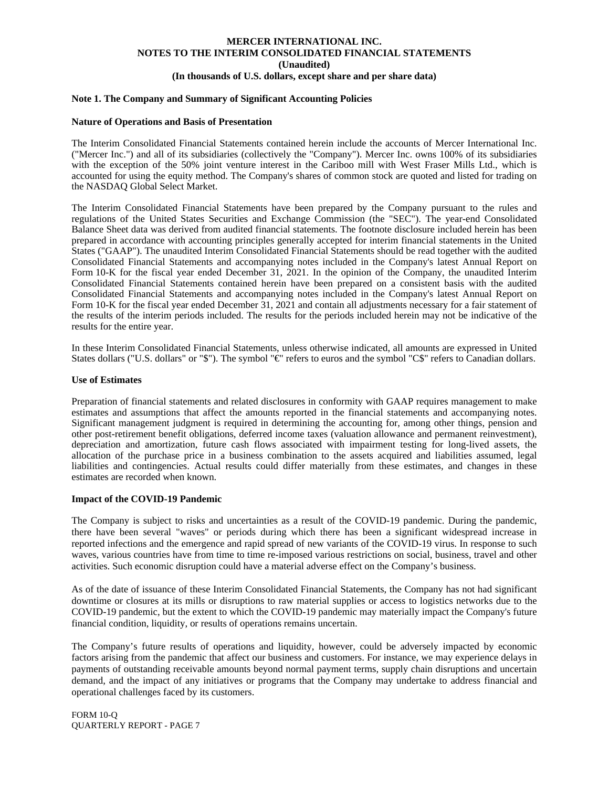#### **Note 1. The Company and Summary of Significant Accounting Policies**

#### **Nature of Operations and Basis of Presentation**

The Interim Consolidated Financial Statements contained herein include the accounts of Mercer International Inc. ("Mercer Inc.") and all of its subsidiaries (collectively the "Company"). Mercer Inc. owns 100% of its subsidiaries with the exception of the 50% joint venture interest in the Cariboo mill with West Fraser Mills Ltd., which is accounted for using the equity method. The Company's shares of common stock are quoted and listed for trading on the NASDAQ Global Select Market.

The Interim Consolidated Financial Statements have been prepared by the Company pursuant to the rules and regulations of the United States Securities and Exchange Commission (the "SEC"). The year-end Consolidated Balance Sheet data was derived from audited financial statements. The footnote disclosure included herein has been prepared in accordance with accounting principles generally accepted for interim financial statements in the United States ("GAAP"). The unaudited Interim Consolidated Financial Statements should be read together with the audited Consolidated Financial Statements and accompanying notes included in the Company's latest Annual Report on Form 10-K for the fiscal year ended December 31, 2021. In the opinion of the Company, the unaudited Interim Consolidated Financial Statements contained herein have been prepared on a consistent basis with the audited Consolidated Financial Statements and accompanying notes included in the Company's latest Annual Report on Form 10-K for the fiscal year ended December 31, 2021 and contain all adjustments necessary for a fair statement of the results of the interim periods included. The results for the periods included herein may not be indicative of the results for the entire year.

In these Interim Consolidated Financial Statements, unless otherwise indicated, all amounts are expressed in United States dollars ("U.S. dollars" or "\$"). The symbol "€" refers to euros and the symbol "C\$" refers to Canadian dollars.

#### **Use of Estimates**

Preparation of financial statements and related disclosures in conformity with GAAP requires management to make estimates and assumptions that affect the amounts reported in the financial statements and accompanying notes. Significant management judgment is required in determining the accounting for, among other things, pension and other post-retirement benefit obligations, deferred income taxes (valuation allowance and permanent reinvestment), depreciation and amortization, future cash flows associated with impairment testing for long-lived assets, the allocation of the purchase price in a business combination to the assets acquired and liabilities assumed, legal liabilities and contingencies. Actual results could differ materially from these estimates, and changes in these estimates are recorded when known.

#### **Impact of the COVID-19 Pandemic**

The Company is subject to risks and uncertainties as a result of the COVID-19 pandemic. During the pandemic, there have been several "waves" or periods during which there has been a significant widespread increase in reported infections and the emergence and rapid spread of new variants of the COVID-19 virus. In response to such waves, various countries have from time to time re-imposed various restrictions on social, business, travel and other activities. Such economic disruption could have a material adverse effect on the Company's business.

As of the date of issuance of these Interim Consolidated Financial Statements, the Company has not had significant downtime or closures at its mills or disruptions to raw material supplies or access to logistics networks due to the COVID-19 pandemic, but the extent to which the COVID-19 pandemic may materially impact the Company's future financial condition, liquidity, or results of operations remains uncertain.

The Company's future results of operations and liquidity, however, could be adversely impacted by economic factors arising from the pandemic that affect our business and customers. For instance, we may experience delays in payments of outstanding receivable amounts beyond normal payment terms, supply chain disruptions and uncertain demand, and the impact of any initiatives or programs that the Company may undertake to address financial and operational challenges faced by its customers.

FORM 10-Q QUARTERLY REPORT - PAGE 7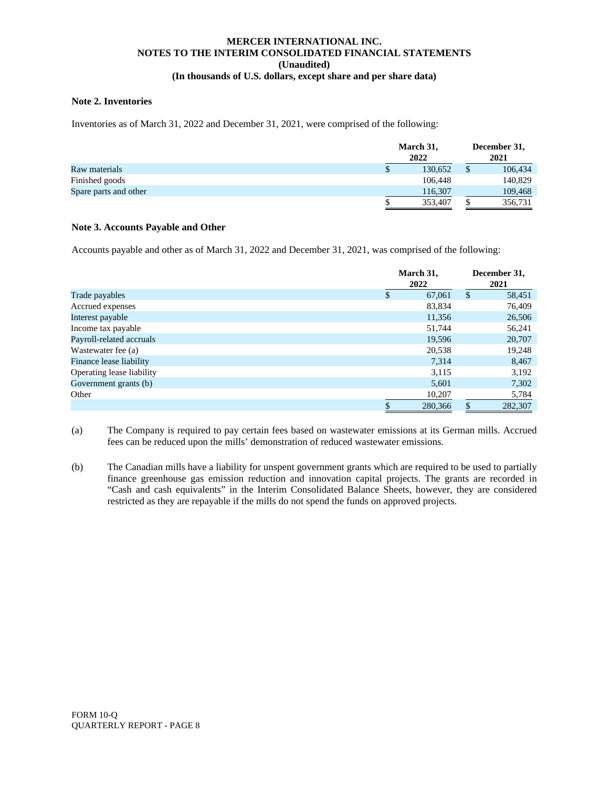# **Note 2. Inventories**

Inventories as of March 31, 2022 and December 31, 2021, were comprised of the following:

|                       | March 31,<br>2022 |    | December 31,<br>2021 |  |  |
|-----------------------|-------------------|----|----------------------|--|--|
| Raw materials         | 130.652           | \$ | 106,434              |  |  |
| Finished goods        | 106.448           |    | 140,829              |  |  |
| Spare parts and other | 116,307           |    | 109,468              |  |  |
|                       | 353,407           | ъ  | 356,731              |  |  |

# **Note 3. Accounts Payable and Other**

Accounts payable and other as of March 31, 2022 and December 31, 2021, was comprised of the following:

|                           |               | March 31,<br>2022 |               | December 31,<br>2021 |
|---------------------------|---------------|-------------------|---------------|----------------------|
| Trade payables            | <sup>\$</sup> | 67,061            | <sup>\$</sup> | 58,451               |
| Accrued expenses          |               | 83,834            |               | 76,409               |
| Interest payable          |               | 11,356            |               | 26,506               |
| Income tax payable        |               | 51,744            |               | 56,241               |
| Payroll-related accruals  |               | 19,596            |               | 20,707               |
| Wastewater fee (a)        |               | 20,538            |               | 19,248               |
| Finance lease liability   |               | 7,314             |               | 8,467                |
| Operating lease liability |               | 3,115             |               | 3,192                |
| Government grants (b)     |               | 5,601             |               | 7,302                |
| Other                     |               | 10,207            |               | 5,784                |
|                           |               | 280,366           |               | 282,307              |

(a) The Company is required to pay certain fees based on wastewater emissions at its German mills. Accrued fees can be reduced upon the mills' demonstration of reduced wastewater emissions.

(b) The Canadian mills have a liability for unspent government grants which are required to be used to partially finance greenhouse gas emission reduction and innovation capital projects. The grants are recorded in "Cash and cash equivalents" in the Interim Consolidated Balance Sheets, however, they are considered restricted as they are repayable if the mills do not spend the funds on approved projects.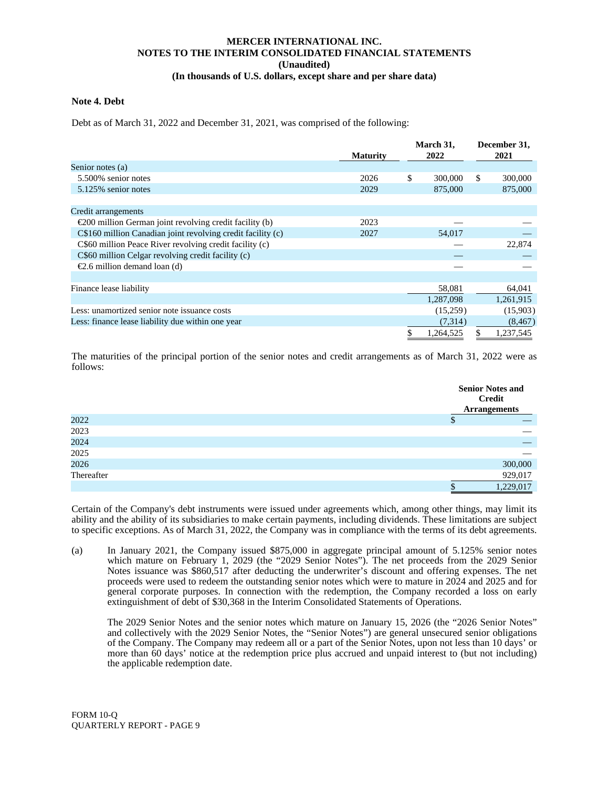#### **Note 4. Debt**

Debt as of March 31, 2022 and December 31, 2021, was comprised of the following:

|                                                                   |                 | March 31,       |     | December 31, |
|-------------------------------------------------------------------|-----------------|-----------------|-----|--------------|
|                                                                   | <b>Maturity</b> | 2022            |     | 2021         |
| Senior notes (a)                                                  |                 |                 |     |              |
| 5.500% senior notes                                               | 2026            | \$<br>300,000   | \$. | 300,000      |
| 5.125% senior notes                                               | 2029            | 875,000         |     | 875,000      |
|                                                                   |                 |                 |     |              |
| Credit arrangements                                               |                 |                 |     |              |
| $\epsilon$ 200 million German joint revolving credit facility (b) | 2023            |                 |     |              |
| C\$160 million Canadian joint revolving credit facility (c)       | 2027            | 54,017          |     |              |
| C\$60 million Peace River revolving credit facility (c)           |                 |                 |     | 22,874       |
| C\$60 million Celgar revolving credit facility (c)                |                 |                 |     |              |
| €2.6 million demand loan (d)                                      |                 |                 |     |              |
|                                                                   |                 |                 |     |              |
| Finance lease liability                                           |                 | 58,081          |     | 64,041       |
|                                                                   |                 | 1,287,098       |     | 1,261,915    |
| Less: unamortized senior note issuance costs                      |                 | (15,259)        |     | (15,903)     |
| Less: finance lease liability due within one year                 |                 | (7,314)         |     | (8, 467)     |
|                                                                   |                 | \$<br>1,264,525 | \$  | 1,237,545    |

The maturities of the principal portion of the senior notes and credit arrangements as of March 31, 2022 were as follows:

|            | <b>Senior Notes and</b><br><b>Credit</b> |
|------------|------------------------------------------|
|            | <b>Arrangements</b>                      |
| 2022       | ¢<br>Φ                                   |
| 2023       |                                          |
| 2024       |                                          |
| 2025       |                                          |
| 2026       | 300,000                                  |
| Thereafter | 929,017                                  |
|            | 1,229,017                                |

Certain of the Company's debt instruments were issued under agreements which, among other things, may limit its ability and the ability of its subsidiaries to make certain payments, including dividends. These limitations are subject to specific exceptions. As of March 31, 2022, the Company was in compliance with the terms of its debt agreements.

(a) In January 2021, the Company issued \$875,000 in aggregate principal amount of 5.125% senior notes which mature on February 1, 2029 (the "2029 Senior Notes"). The net proceeds from the 2029 Senior Notes issuance was \$860,517 after deducting the underwriter's discount and offering expenses. The net proceeds were used to redeem the outstanding senior notes which were to mature in 2024 and 2025 and for general corporate purposes. In connection with the redemption, the Company recorded a loss on early extinguishment of debt of \$30,368 in the Interim Consolidated Statements of Operations.

The 2029 Senior Notes and the senior notes which mature on January 15, 2026 (the "2026 Senior Notes" and collectively with the 2029 Senior Notes, the "Senior Notes") are general unsecured senior obligations of the Company. The Company may redeem all or a part of the Senior Notes, upon not less than 10 days' or more than 60 days' notice at the redemption price plus accrued and unpaid interest to (but not including) the applicable redemption date.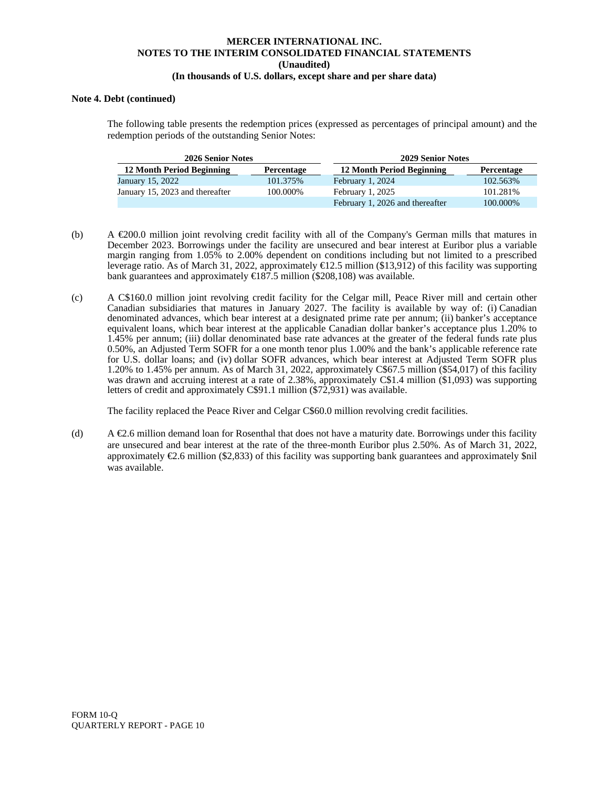#### **Note 4. Debt (continued)**

The following table presents the redemption prices (expressed as percentages of principal amount) and the redemption periods of the outstanding Senior Notes:

| 2026 Senior Notes                |            | 2029 Senior Notes               |            |
|----------------------------------|------------|---------------------------------|------------|
| <b>12 Month Period Beginning</b> | Percentage | 12 Month Period Beginning       | Percentage |
| January 15, 2022                 | 101.375%   | February 1, 2024                | 102.563%   |
| January 15, 2023 and thereafter  | 100.000%   | February 1, 2025                | 101.281%   |
|                                  |            | February 1, 2026 and thereafter | 100.000%   |

- (b) A  $\epsilon$ 200.0 million joint revolving credit facility with all of the Company's German mills that matures in December 2023. Borrowings under the facility are unsecured and bear interest at Euribor plus a variable margin ranging from 1.05% to 2.00% dependent on conditions including but not limited to a prescribed leverage ratio. As of March 31, 2022, approximately €12.5 million (\$13,912) of this facility was supporting bank guarantees and approximately  $\epsilon 187.5$  million (\$208,108) was available.
- (c) A C\$160.0 million joint revolving credit facility for the Celgar mill, Peace River mill and certain other Canadian subsidiaries that matures in January 2027. The facility is available by way of: (i) Canadian denominated advances, which bear interest at a designated prime rate per annum; (ii) banker's acceptance equivalent loans, which bear interest at the applicable Canadian dollar banker's acceptance plus 1.20% to 1.45% per annum; (iii) dollar denominated base rate advances at the greater of the federal funds rate plus 0.50%, an Adjusted Term SOFR for a one month tenor plus 1.00% and the bank's applicable reference rate for U.S. dollar loans; and (iv) dollar SOFR advances, which bear interest at Adjusted Term SOFR plus 1.20% to 1.45% per annum. As of March 31, 2022, approximately C\$67.5 million (\$54,017) of this facility was drawn and accruing interest at a rate of 2.38%, approximately C\$1.4 million (\$1,093) was supporting letters of credit and approximately C\$91.1 million (\$72,931) was available.

The facility replaced the Peace River and Celgar C\$60.0 million revolving credit facilities.

(d) A  $\epsilon$ 2.6 million demand loan for Rosenthal that does not have a maturity date. Borrowings under this facility are unsecured and bear interest at the rate of the three-month Euribor plus 2.50%. As of March 31, 2022, approximately  $\epsilon$ 2.6 million (\$2,833) of this facility was supporting bank guarantees and approximately \$nil was available.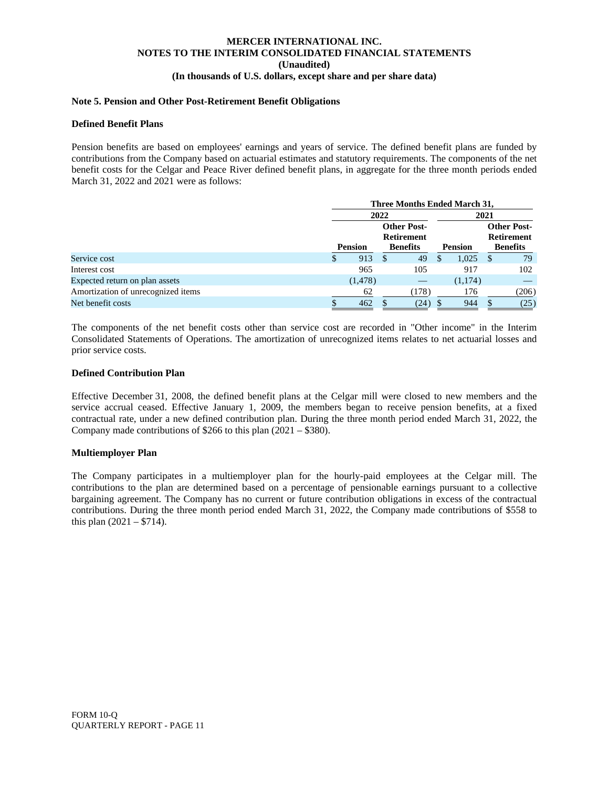# **Note 5. Pension and Other Post-Retirement Benefit Obligations**

#### **Defined Benefit Plans**

Pension benefits are based on employees' earnings and years of service. The defined benefit plans are funded by contributions from the Company based on actuarial estimates and statutory requirements. The components of the net benefit costs for the Celgar and Peace River defined benefit plans, in aggregate for the three month periods ended March 31, 2022 and 2021 were as follows:

|                                    |                                         | Three Months Ended March 31, |               |                 |                |         |                 |       |                                         |
|------------------------------------|-----------------------------------------|------------------------------|---------------|-----------------|----------------|---------|-----------------|-------|-----------------------------------------|
|                                    |                                         |                              | 2022          |                 | 2021           |         |                 |       |                                         |
|                                    | <b>Other Post-</b><br><b>Retirement</b> |                              |               |                 |                |         |                 |       | <b>Other Post-</b><br><b>Retirement</b> |
|                                    |                                         | <b>Pension</b>               |               | <b>Benefits</b> | <b>Pension</b> |         | <b>Benefits</b> |       |                                         |
| Service cost                       | \$                                      | 913                          | <sup>\$</sup> | 49              | S              | 1,025   | S               | 79    |                                         |
| Interest cost                      |                                         | 965                          |               | 105             |                | 917     |                 | 102   |                                         |
| Expected return on plan assets     |                                         | (1, 478)                     |               |                 |                | (1,174) |                 |       |                                         |
| Amortization of unrecognized items |                                         | 62                           |               | (178)           |                | 176     |                 | (206) |                                         |
| Net benefit costs                  |                                         | 462                          |               | (24)            |                | 944     |                 | (25)  |                                         |

The components of the net benefit costs other than service cost are recorded in "Other income" in the Interim Consolidated Statements of Operations. The amortization of unrecognized items relates to net actuarial losses and prior service costs.

#### **Defined Contribution Plan**

Effective December 31, 2008, the defined benefit plans at the Celgar mill were closed to new members and the service accrual ceased. Effective January 1, 2009, the members began to receive pension benefits, at a fixed contractual rate, under a new defined contribution plan. During the three month period ended March 31, 2022, the Company made contributions of \$266 to this plan (2021 – \$380).

#### **Multiemployer Plan**

The Company participates in a multiemployer plan for the hourly-paid employees at the Celgar mill. The contributions to the plan are determined based on a percentage of pensionable earnings pursuant to a collective bargaining agreement. The Company has no current or future contribution obligations in excess of the contractual contributions. During the three month period ended March 31, 2022, the Company made contributions of \$558 to this plan  $(2021 - $714)$ .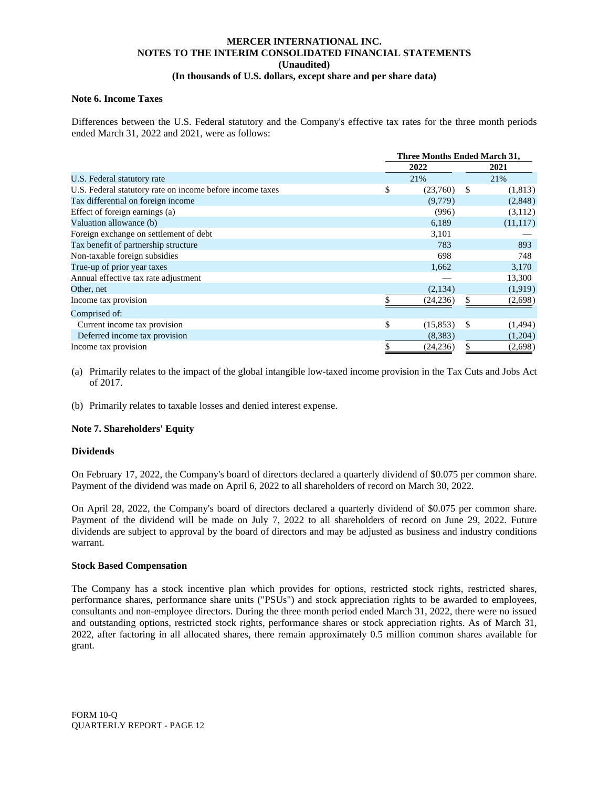## **Note 6. Income Taxes**

Differences between the U.S. Federal statutory and the Company's effective tax rates for the three month periods ended March 31, 2022 and 2021, were as follows:

|                                                           | <b>Three Months Ended March 31,</b> |    |           |  |  |  |
|-----------------------------------------------------------|-------------------------------------|----|-----------|--|--|--|
|                                                           | 2022                                |    | 2021      |  |  |  |
| U.S. Federal statutory rate                               | 21%                                 |    | 21%       |  |  |  |
| U.S. Federal statutory rate on income before income taxes | \$<br>(23,760)                      | -S | (1,813)   |  |  |  |
| Tax differential on foreign income                        | (9,779)                             |    | (2,848)   |  |  |  |
| Effect of foreign earnings (a)                            | (996)                               |    | (3,112)   |  |  |  |
| Valuation allowance (b)                                   | 6,189                               |    | (11, 117) |  |  |  |
| Foreign exchange on settlement of debt                    | 3,101                               |    |           |  |  |  |
| Tax benefit of partnership structure                      | 783                                 |    | 893       |  |  |  |
| Non-taxable foreign subsidies                             | 698                                 |    | 748       |  |  |  |
| True-up of prior year taxes                               | 1,662                               |    | 3,170     |  |  |  |
| Annual effective tax rate adjustment                      |                                     |    | 13,300    |  |  |  |
| Other, net                                                | (2,134)                             |    | (1,919)   |  |  |  |
| Income tax provision                                      | (24, 236)                           |    | (2,698)   |  |  |  |
| Comprised of:                                             |                                     |    |           |  |  |  |
| Current income tax provision                              | \$<br>(15,853)                      | -S | (1, 494)  |  |  |  |
| Deferred income tax provision                             | (8,383)                             |    | (1,204)   |  |  |  |
| Income tax provision                                      | \$<br>(24, 236)                     | \$ | (2,698)   |  |  |  |

(a) Primarily relates to the impact of the global intangible low-taxed income provision in the Tax Cuts and Jobs Act of 2017.

(b) Primarily relates to taxable losses and denied interest expense.

#### **Note 7. Shareholders' Equity**

#### **Dividends**

On February 17, 2022, the Company's board of directors declared a quarterly dividend of \$0.075 per common share. Payment of the dividend was made on April 6, 2022 to all shareholders of record on March 30, 2022.

On April 28, 2022, the Company's board of directors declared a quarterly dividend of \$0.075 per common share. Payment of the dividend will be made on July 7, 2022 to all shareholders of record on June 29, 2022. Future dividends are subject to approval by the board of directors and may be adjusted as business and industry conditions warrant.

#### **Stock Based Compensation**

The Company has a stock incentive plan which provides for options, restricted stock rights, restricted shares, performance shares, performance share units ("PSUs") and stock appreciation rights to be awarded to employees, consultants and non-employee directors. During the three month period ended March 31, 2022, there were no issued and outstanding options, restricted stock rights, performance shares or stock appreciation rights. As of March 31, 2022, after factoring in all allocated shares, there remain approximately 0.5 million common shares available for grant.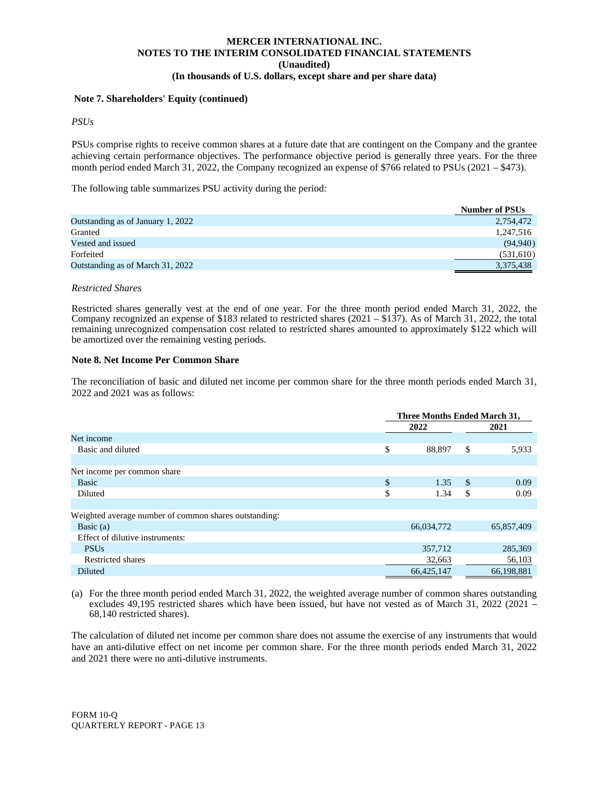#### **Note 7. Shareholders' Equity (continued)**

*PSUs*

PSUs comprise rights to receive common shares at a future date that are contingent on the Company and the grantee achieving certain performance objectives. The performance objective period is generally three years. For the three month period ended March 31, 2022, the Company recognized an expense of \$766 related to PSUs (2021 – \$473).

The following table summarizes PSU activity during the period:

|                                   | <b>Number of PSUs</b> |
|-----------------------------------|-----------------------|
| Outstanding as of January 1, 2022 | 2,754,472             |
| Granted                           | 1,247,516             |
| Vested and issued                 | (94, 940)             |
| Forfeited                         | (531,610)             |
| Outstanding as of March 31, 2022  | 3,375,438             |

#### *Restricted Shares*

Restricted shares generally vest at the end of one year. For the three month period ended March 31, 2022, the Company recognized an expense of \$183 related to restricted shares (2021 – \$137). As of March 31, 2022, the total remaining unrecognized compensation cost related to restricted shares amounted to approximately \$122 which will be amortized over the remaining vesting periods.

#### **Note 8. Net Income Per Common Share**

The reconciliation of basic and diluted net income per common share for the three month periods ended March 31, 2022 and 2021 was as follows:

|                                                       | Three Months Ended March 31, |    |            |  |  |
|-------------------------------------------------------|------------------------------|----|------------|--|--|
|                                                       | 2022                         |    | 2021       |  |  |
| Net income                                            |                              |    |            |  |  |
| Basic and diluted                                     | \$<br>88,897                 | \$ | 5,933      |  |  |
|                                                       |                              |    |            |  |  |
| Net income per common share                           |                              |    |            |  |  |
| Basic                                                 | \$<br>1.35                   | -S | 0.09       |  |  |
| Diluted                                               | \$<br>1.34                   | S  | 0.09       |  |  |
|                                                       |                              |    |            |  |  |
| Weighted average number of common shares outstanding: |                              |    |            |  |  |
| Basic $(a)$                                           | 66,034,772                   |    | 65,857,409 |  |  |
| Effect of dilutive instruments:                       |                              |    |            |  |  |
| <b>PSUs</b>                                           | 357,712                      |    | 285,369    |  |  |
| Restricted shares                                     | 32,663                       |    | 56,103     |  |  |
| <b>Diluted</b>                                        | 66,425,147                   |    | 66,198,881 |  |  |

(a) For the three month period ended March 31, 2022, the weighted average number of common shares outstanding excludes 49,195 restricted shares which have been issued, but have not vested as of March 31, 2022 (2021 – 68,140 restricted shares).

The calculation of diluted net income per common share does not assume the exercise of any instruments that would have an anti-dilutive effect on net income per common share. For the three month periods ended March 31, 2022 and 2021 there were no anti-dilutive instruments.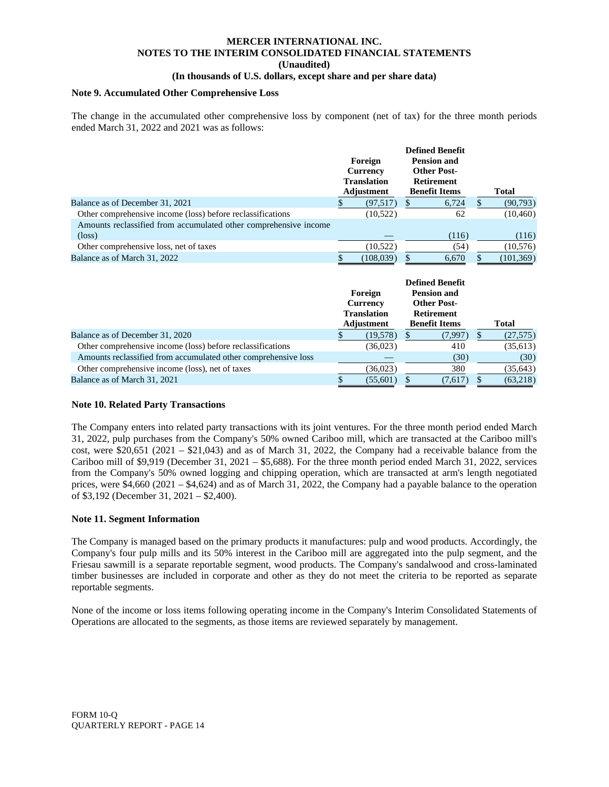# **MERCER INTERNATIONAL INC. NOTES TO THE INTERIM CONSOLIDATED FINANCIAL STATEMENTS (Unaudited)**

# **(In thousands of U.S. dollars, except share and per share data)**

## **Note 9. Accumulated Other Comprehensive Loss**

The change in the accumulated other comprehensive loss by component (net of tax) for the three month periods ended March 31, 2022 and 2021 was as follows:

|                                                                  |                                         | Foreign    |                    | <b>Defined Benefit</b><br><b>Pension and</b> |              |  |  |
|------------------------------------------------------------------|-----------------------------------------|------------|--------------------|----------------------------------------------|--------------|--|--|
|                                                                  | Currency                                |            | <b>Other Post-</b> |                                              |              |  |  |
|                                                                  | <b>Translation</b><br><b>Retirement</b> |            |                    |                                              |              |  |  |
|                                                                  |                                         | Adjustment |                    | <b>Benefit Items</b>                         | <b>Total</b> |  |  |
| Balance as of December 31, 2021                                  |                                         | (97, 517)  | J                  | 6,724                                        | (90, 793)    |  |  |
| Other comprehensive income (loss) before reclassifications       |                                         | (10,522)   |                    | 62                                           | (10, 460)    |  |  |
| Amounts reclassified from accumulated other comprehensive income |                                         |            |                    |                                              |              |  |  |
| $(\text{loss})$                                                  |                                         |            |                    | (116)                                        | (116)        |  |  |
| Other comprehensive loss, net of taxes                           |                                         | (10, 522)  |                    | (54)                                         | (10, 576)    |  |  |
| Balance as of March 31, 2022                                     |                                         | (108, 039) |                    | 6,670                                        | (101, 369)   |  |  |

|                                                                | Foreign<br><b>Currency</b><br><b>Translation</b><br>Adjustment | <b>Defined Benefit</b><br><b>Pension and</b><br><b>Other Post-</b><br><b>Retirement</b><br><b>Benefit Items</b> | Total     |
|----------------------------------------------------------------|----------------------------------------------------------------|-----------------------------------------------------------------------------------------------------------------|-----------|
| Balance as of December 31, 2020                                | (19,578)                                                       | (7,997)                                                                                                         | (27,575)  |
| Other comprehensive income (loss) before reclassifications     | (36,023)                                                       | 410                                                                                                             | (35, 613) |
| Amounts reclassified from accumulated other comprehensive loss |                                                                | (30)                                                                                                            | (30)      |
| Other comprehensive income (loss), net of taxes                | (36,023)                                                       | 380                                                                                                             | (35, 643) |
| Balance as of March 31, 2021                                   | (55,601)                                                       | (7,617)                                                                                                         | (63,218)  |

#### **Note 10. Related Party Transactions**

The Company enters into related party transactions with its joint ventures. For the three month period ended March 31, 2022, pulp purchases from the Company's 50% owned Cariboo mill, which are transacted at the Cariboo mill's cost, were  $$20,651$  (2021 –  $$21,043$ ) and as of March 31, 2022, the Company had a receivable balance from the Cariboo mill of \$9,919 (December 31, 2021 – \$5,688). For the three month period ended March 31, 2022, services from the Company's 50% owned logging and chipping operation, which are transacted at arm's length negotiated prices, were \$4,660 (2021 – \$4,624) and as of March 31, 2022, the Company had a payable balance to the operation of \$3,192 (December 31, 2021 – \$2,400).

#### **Note 11. Segment Information**

The Company is managed based on the primary products it manufactures: pulp and wood products. Accordingly, the Company's four pulp mills and its 50% interest in the Cariboo mill are aggregated into the pulp segment, and the Friesau sawmill is a separate reportable segment, wood products. The Company's sandalwood and cross-laminated timber businesses are included in corporate and other as they do not meet the criteria to be reported as separate reportable segments.

None of the income or loss items following operating income in the Company's Interim Consolidated Statements of Operations are allocated to the segments, as those items are reviewed separately by management.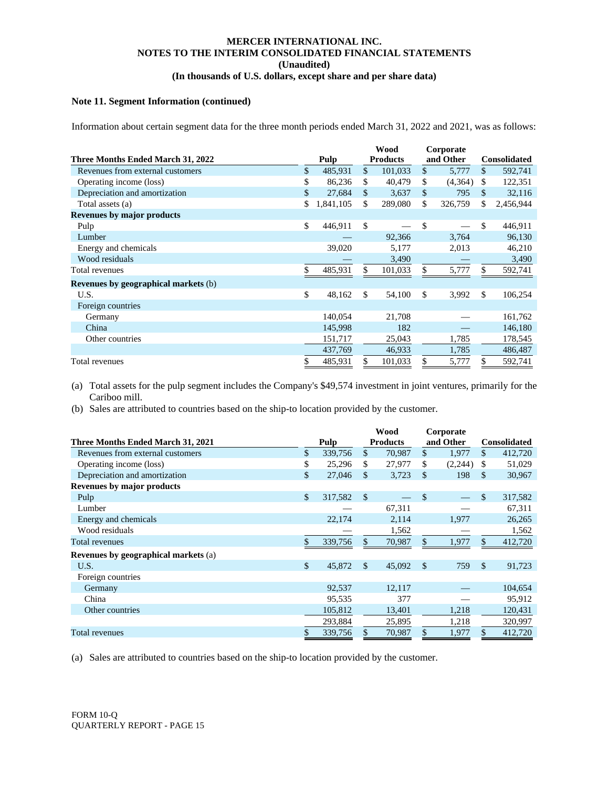#### **Note 11. Segment Information (continued)**

Information about certain segment data for the three month periods ended March 31, 2022 and 2021, was as follows:

|                                             |                 | <b>Wood</b> |                 | Corporate    |         |                     |
|---------------------------------------------|-----------------|-------------|-----------------|--------------|---------|---------------------|
| Three Months Ended March 31, 2022           | Pulp            |             | <b>Products</b> | and Other    |         | <b>Consolidated</b> |
| Revenues from external customers            | \$<br>485,931   | \$          | 101,033         | $\mathbb{S}$ | 5,777   | \$<br>592,741       |
| Operating income (loss)                     | \$<br>86,236    | \$          | 40,479          | \$           | (4,364) | \$<br>122,351       |
| Depreciation and amortization               | \$<br>27,684    | \$          | 3,637           | \$           | 795     | \$<br>32,116        |
| Total assets (a)                            | \$<br>1,841,105 | \$          | 289,080         | \$           | 326,759 | \$<br>2,456,944     |
| <b>Revenues by major products</b>           |                 |             |                 |              |         |                     |
| Pulp                                        | \$<br>446,911   | \$          |                 | \$           |         | \$<br>446,911       |
| Lumber                                      |                 |             | 92,366          |              | 3,764   | 96,130              |
| Energy and chemicals                        | 39,020          |             | 5,177           |              | 2,013   | 46,210              |
| Wood residuals                              |                 |             | 3,490           |              |         | 3,490               |
| Total revenues                              | \$<br>485,931   | \$.         | 101,033         |              | 5,777   | \$<br>592,741       |
| <b>Revenues by geographical markets (b)</b> |                 |             |                 |              |         |                     |
| U.S.                                        | \$<br>48,162    | \$.         | 54,100          | \$           | 3,992   | \$<br>106,254       |
| Foreign countries                           |                 |             |                 |              |         |                     |
| Germany                                     | 140,054         |             | 21,708          |              |         | 161,762             |
| China                                       | 145,998         |             | 182             |              |         | 146,180             |
| Other countries                             | 151,717         |             | 25,043          |              | 1,785   | 178,545             |
|                                             | 437,769         |             | 46,933          |              | 1,785   | 486,487             |
| Total revenues                              | \$<br>485,931   | \$          | 101,033         | \$           | 5,777   | \$<br>592,741       |

(a) Total assets for the pulp segment includes the Company's \$49,574 investment in joint ventures, primarily for the Cariboo mill.

(b) Sales are attributed to countries based on the ship-to location provided by the customer.

|                                             |              |         | <b>Wood</b>     |        |               | Corporate |              |                     |  |  |
|---------------------------------------------|--------------|---------|-----------------|--------|---------------|-----------|--------------|---------------------|--|--|
| Three Months Ended March 31, 2021           |              | Pulp    | <b>Products</b> |        | and Other     |           |              | <b>Consolidated</b> |  |  |
| Revenues from external customers            | \$           | 339,756 | \$              | 70,987 | $\mathbb{S}$  | 1,977     | $\mathbb{S}$ | 412,720             |  |  |
| Operating income (loss)                     | \$           | 25,296  | \$.             | 27,977 | \$            | (2,244)   | \$           | 51,029              |  |  |
| Depreciation and amortization               | \$           | 27,046  | \$              | 3,723  | \$.           | 198       | \$           | 30,967              |  |  |
| Revenues by major products                  |              |         |                 |        |               |           |              |                     |  |  |
| Pulp                                        | $\mathbb{S}$ | 317,582 | <sup>\$</sup>   |        | <sup>\$</sup> |           | \$           | 317,582             |  |  |
| Lumber                                      |              |         |                 | 67,311 |               |           |              | 67,311              |  |  |
| Energy and chemicals                        |              | 22,174  |                 | 2,114  |               | 1,977     |              | 26,265              |  |  |
| Wood residuals                              |              |         |                 | 1,562  |               |           |              | 1,562               |  |  |
| Total revenues                              | \$           | 339,756 | \$              | 70,987 | \$.           | 1,977     | $\mathbb{S}$ | 412,720             |  |  |
| <b>Revenues by geographical markets (a)</b> |              |         |                 |        |               |           |              |                     |  |  |
| U.S.                                        | \$           | 45,872  | <sup>\$</sup>   | 45,092 | <sup>\$</sup> | 759       | $\mathbb{S}$ | 91,723              |  |  |
| Foreign countries                           |              |         |                 |        |               |           |              |                     |  |  |
| Germany                                     |              | 92,537  |                 | 12,117 |               |           |              | 104,654             |  |  |
| China                                       |              | 95.535  |                 | 377    |               |           |              | 95,912              |  |  |
| Other countries                             |              | 105,812 |                 | 13,401 |               | 1,218     |              | 120,431             |  |  |
|                                             |              | 293,884 |                 | 25,895 |               | 1,218     |              | 320,997             |  |  |
| Total revenues                              |              | 339,756 | \$              | 70,987 |               | 1,977     | \$           | 412,720             |  |  |

(a) Sales are attributed to countries based on the ship-to location provided by the customer.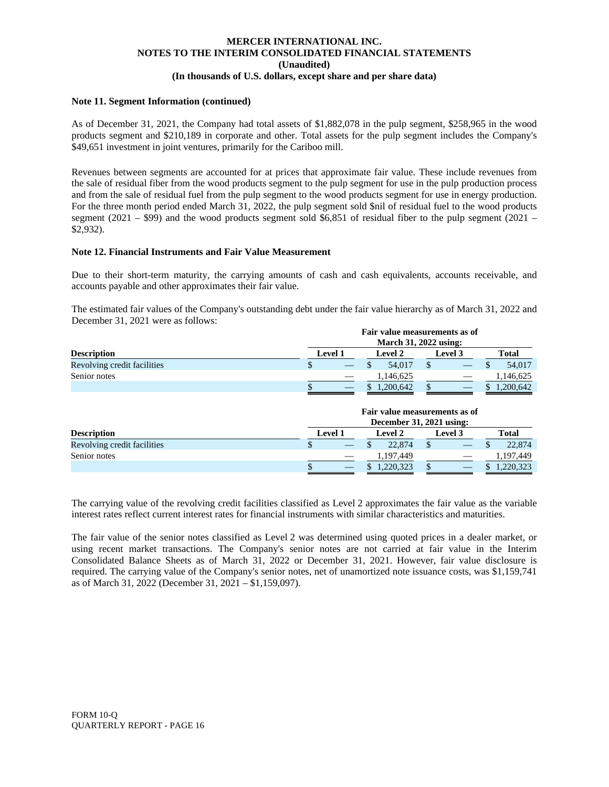#### **Note 11. Segment Information (continued)**

As of December 31, 2021, the Company had total assets of \$1,882,078 in the pulp segment, \$258,965 in the wood products segment and \$210,189 in corporate and other. Total assets for the pulp segment includes the Company's \$49,651 investment in joint ventures, primarily for the Cariboo mill.

Revenues between segments are accounted for at prices that approximate fair value. These include revenues from the sale of residual fiber from the wood products segment to the pulp segment for use in the pulp production process and from the sale of residual fuel from the pulp segment to the wood products segment for use in energy production. For the three month period ended March 31, 2022, the pulp segment sold \$nil of residual fuel to the wood products segment (2021 – \$99) and the wood products segment sold \$6,851 of residual fiber to the pulp segment (2021 – \$2,932).

#### **Note 12. Financial Instruments and Fair Value Measurement**

Due to their short-term maturity, the carrying amounts of cash and cash equivalents, accounts receivable, and accounts payable and other approximates their fair value.

The estimated fair values of the Company's outstanding debt under the fair value hierarchy as of March 31, 2022 and December 31, 2021 were as follows:

|                             |                           |  |  | Fair value measurements as of<br>March 31, 2022 using: |                |  |       |           |
|-----------------------------|---------------------------|--|--|--------------------------------------------------------|----------------|--|-------|-----------|
| <b>Description</b>          | <b>Level 1</b><br>Level 2 |  |  |                                                        | <b>Level 3</b> |  | Total |           |
| Revolving credit facilities |                           |  |  | 54,017                                                 |                |  |       | 54,017    |
| Senior notes                |                           |  |  | 1,146,625                                              |                |  |       | 1,146,625 |
|                             |                           |  |  | 1,200,642                                              |                |  |       | 1,200,642 |

|                             | Fair value measurements as of<br>December 31, 2021 using: |                |  |           |  |                |  |           |  |  |
|-----------------------------|-----------------------------------------------------------|----------------|--|-----------|--|----------------|--|-----------|--|--|
| <b>Description</b>          |                                                           | <b>Level 1</b> |  | Level 2   |  | <b>Level 3</b> |  | Total     |  |  |
| Revolving credit facilities |                                                           |                |  | 22,874    |  |                |  | 22,874    |  |  |
| Senior notes                |                                                           |                |  | 1.197.449 |  |                |  | 1,197,449 |  |  |
|                             |                                                           |                |  | 1,220,323 |  |                |  | ,220,323  |  |  |

The carrying value of the revolving credit facilities classified as Level 2 approximates the fair value as the variable interest rates reflect current interest rates for financial instruments with similar characteristics and maturities.

The fair value of the senior notes classified as Level 2 was determined using quoted prices in a dealer market, or using recent market transactions. The Company's senior notes are not carried at fair value in the Interim Consolidated Balance Sheets as of March 31, 2022 or December 31, 2021. However, fair value disclosure is required. The carrying value of the Company's senior notes, net of unamortized note issuance costs, was \$1,159,741 as of March 31, 2022 (December 31, 2021 – \$1,159,097).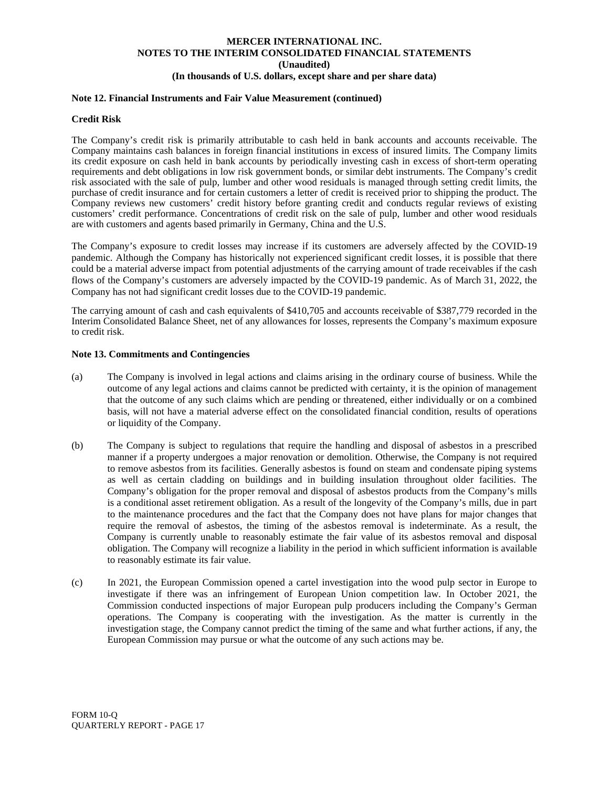## **Note 12. Financial Instruments and Fair Value Measurement (continued)**

#### **Credit Risk**

The Company's credit risk is primarily attributable to cash held in bank accounts and accounts receivable. The Company maintains cash balances in foreign financial institutions in excess of insured limits. The Company limits its credit exposure on cash held in bank accounts by periodically investing cash in excess of short-term operating requirements and debt obligations in low risk government bonds, or similar debt instruments. The Company's credit risk associated with the sale of pulp, lumber and other wood residuals is managed through setting credit limits, the purchase of credit insurance and for certain customers a letter of credit is received prior to shipping the product. The Company reviews new customers' credit history before granting credit and conducts regular reviews of existing customers' credit performance. Concentrations of credit risk on the sale of pulp, lumber and other wood residuals are with customers and agents based primarily in Germany, China and the U.S.

The Company's exposure to credit losses may increase if its customers are adversely affected by the COVID-19 pandemic. Although the Company has historically not experienced significant credit losses, it is possible that there could be a material adverse impact from potential adjustments of the carrying amount of trade receivables if the cash flows of the Company's customers are adversely impacted by the COVID-19 pandemic. As of March 31, 2022, the Company has not had significant credit losses due to the COVID-19 pandemic.

The carrying amount of cash and cash equivalents of \$410,705 and accounts receivable of \$387,779 recorded in the Interim Consolidated Balance Sheet, net of any allowances for losses, represents the Company's maximum exposure to credit risk.

#### **Note 13. Commitments and Contingencies**

- (a) The Company is involved in legal actions and claims arising in the ordinary course of business. While the outcome of any legal actions and claims cannot be predicted with certainty, it is the opinion of management that the outcome of any such claims which are pending or threatened, either individually or on a combined basis, will not have a material adverse effect on the consolidated financial condition, results of operations or liquidity of the Company.
- (b) The Company is subject to regulations that require the handling and disposal of asbestos in a prescribed manner if a property undergoes a major renovation or demolition. Otherwise, the Company is not required to remove asbestos from its facilities. Generally asbestos is found on steam and condensate piping systems as well as certain cladding on buildings and in building insulation throughout older facilities. The Company's obligation for the proper removal and disposal of asbestos products from the Company's mills is a conditional asset retirement obligation. As a result of the longevity of the Company's mills, due in part to the maintenance procedures and the fact that the Company does not have plans for major changes that require the removal of asbestos, the timing of the asbestos removal is indeterminate. As a result, the Company is currently unable to reasonably estimate the fair value of its asbestos removal and disposal obligation. The Company will recognize a liability in the period in which sufficient information is available to reasonably estimate its fair value.
- (c) In 2021, the European Commission opened a cartel investigation into the wood pulp sector in Europe to investigate if there was an infringement of European Union competition law. In October 2021, the Commission conducted inspections of major European pulp producers including the Company's German operations. The Company is cooperating with the investigation. As the matter is currently in the investigation stage, the Company cannot predict the timing of the same and what further actions, if any, the European Commission may pursue or what the outcome of any such actions may be.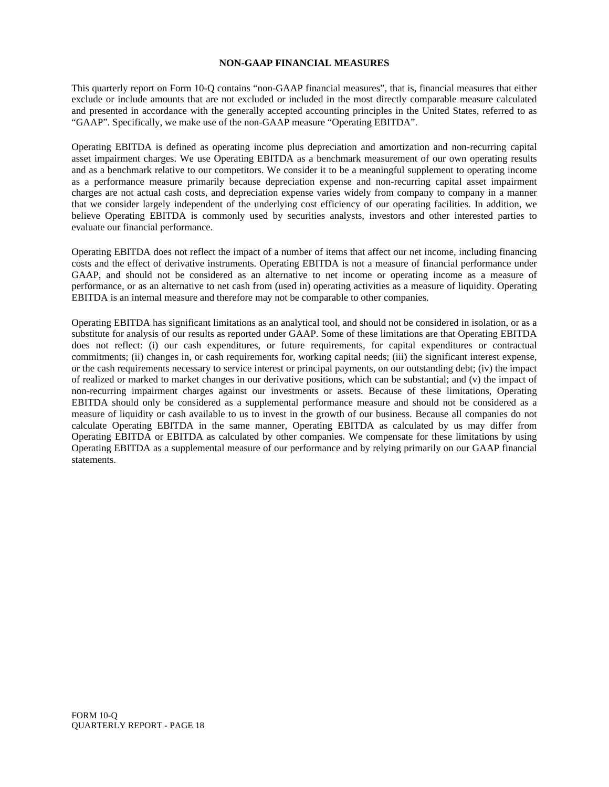#### **NON-GAAP FINANCIAL MEASURES**

This quarterly report on Form 10-Q contains "non-GAAP financial measures", that is, financial measures that either exclude or include amounts that are not excluded or included in the most directly comparable measure calculated and presented in accordance with the generally accepted accounting principles in the United States, referred to as "GAAP". Specifically, we make use of the non-GAAP measure "Operating EBITDA".

Operating EBITDA is defined as operating income plus depreciation and amortization and non-recurring capital asset impairment charges. We use Operating EBITDA as a benchmark measurement of our own operating results and as a benchmark relative to our competitors. We consider it to be a meaningful supplement to operating income as a performance measure primarily because depreciation expense and non-recurring capital asset impairment charges are not actual cash costs, and depreciation expense varies widely from company to company in a manner that we consider largely independent of the underlying cost efficiency of our operating facilities. In addition, we believe Operating EBITDA is commonly used by securities analysts, investors and other interested parties to evaluate our financial performance.

Operating EBITDA does not reflect the impact of a number of items that affect our net income, including financing costs and the effect of derivative instruments. Operating EBITDA is not a measure of financial performance under GAAP, and should not be considered as an alternative to net income or operating income as a measure of performance, or as an alternative to net cash from (used in) operating activities as a measure of liquidity. Operating EBITDA is an internal measure and therefore may not be comparable to other companies.

Operating EBITDA has significant limitations as an analytical tool, and should not be considered in isolation, or as a substitute for analysis of our results as reported under GAAP. Some of these limitations are that Operating EBITDA does not reflect: (i) our cash expenditures, or future requirements, for capital expenditures or contractual commitments; (ii) changes in, or cash requirements for, working capital needs; (iii) the significant interest expense, or the cash requirements necessary to service interest or principal payments, on our outstanding debt; (iv) the impact of realized or marked to market changes in our derivative positions, which can be substantial; and (v) the impact of non-recurring impairment charges against our investments or assets. Because of these limitations, Operating EBITDA should only be considered as a supplemental performance measure and should not be considered as a measure of liquidity or cash available to us to invest in the growth of our business. Because all companies do not calculate Operating EBITDA in the same manner, Operating EBITDA as calculated by us may differ from Operating EBITDA or EBITDA as calculated by other companies. We compensate for these limitations by using Operating EBITDA as a supplemental measure of our performance and by relying primarily on our GAAP financial statements.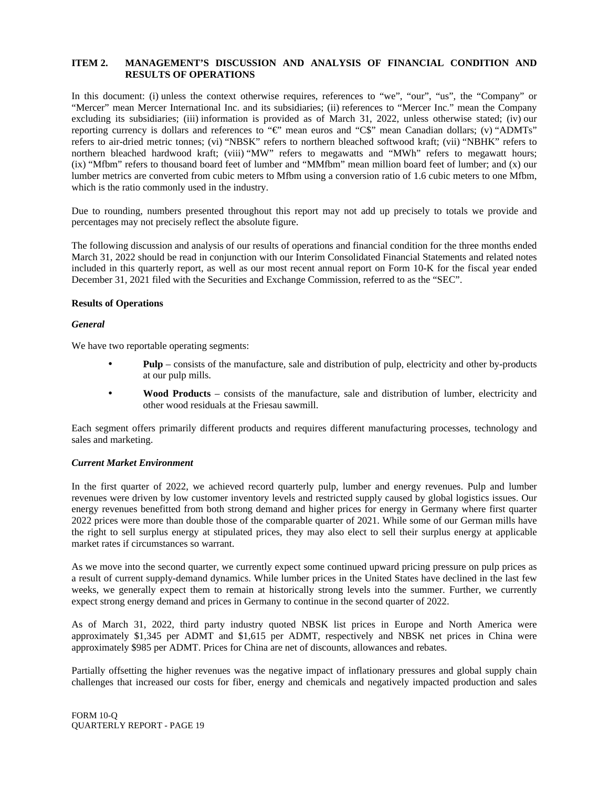# **ITEM 2. MANAGEMENT'S DISCUSSION AND ANALYSIS OF FINANCIAL CONDITION AND RESULTS OF OPERATIONS**

In this document: (i) unless the context otherwise requires, references to "we", "our", "us", the "Company" or "Mercer" mean Mercer International Inc. and its subsidiaries; (ii) references to "Mercer Inc." mean the Company excluding its subsidiaries; (iii) information is provided as of March 31, 2022, unless otherwise stated; (iv) our reporting currency is dollars and references to "€" mean euros and "C\$" mean Canadian dollars; (v) "ADMTs" refers to air-dried metric tonnes; (vi) "NBSK" refers to northern bleached softwood kraft; (vii) "NBHK" refers to northern bleached hardwood kraft; (viii) "MW" refers to megawatts and "MWh" refers to megawatt hours; (ix) "Mfbm" refers to thousand board feet of lumber and "MMfbm" mean million board feet of lumber; and (x) our lumber metrics are converted from cubic meters to Mfbm using a conversion ratio of 1.6 cubic meters to one Mfbm, which is the ratio commonly used in the industry.

Due to rounding, numbers presented throughout this report may not add up precisely to totals we provide and percentages may not precisely reflect the absolute figure.

The following discussion and analysis of our results of operations and financial condition for the three months ended March 31, 2022 should be read in conjunction with our Interim Consolidated Financial Statements and related notes included in this quarterly report, as well as our most recent annual report on Form 10-K for the fiscal year ended December 31, 2021 filed with the Securities and Exchange Commission, referred to as the "SEC".

#### **Results of Operations**

#### *General*

We have two reportable operating segments:

- **Pulp** consists of the manufacture, sale and distribution of pulp, electricity and other by-products at our pulp mills.
- **Wood Products** consists of the manufacture, sale and distribution of lumber, electricity and other wood residuals at the Friesau sawmill.

Each segment offers primarily different products and requires different manufacturing processes, technology and sales and marketing.

#### *Current Market Environment*

In the first quarter of 2022, we achieved record quarterly pulp, lumber and energy revenues. Pulp and lumber revenues were driven by low customer inventory levels and restricted supply caused by global logistics issues. Our energy revenues benefitted from both strong demand and higher prices for energy in Germany where first quarter 2022 prices were more than double those of the comparable quarter of 2021. While some of our German mills have the right to sell surplus energy at stipulated prices, they may also elect to sell their surplus energy at applicable market rates if circumstances so warrant.

As we move into the second quarter, we currently expect some continued upward pricing pressure on pulp prices as a result of current supply-demand dynamics. While lumber prices in the United States have declined in the last few weeks, we generally expect them to remain at historically strong levels into the summer. Further, we currently expect strong energy demand and prices in Germany to continue in the second quarter of 2022.

As of March 31, 2022, third party industry quoted NBSK list prices in Europe and North America were approximately \$1,345 per ADMT and \$1,615 per ADMT, respectively and NBSK net prices in China were approximately \$985 per ADMT. Prices for China are net of discounts, allowances and rebates.

Partially offsetting the higher revenues was the negative impact of inflationary pressures and global supply chain challenges that increased our costs for fiber, energy and chemicals and negatively impacted production and sales

FORM 10-Q QUARTERLY REPORT - PAGE 19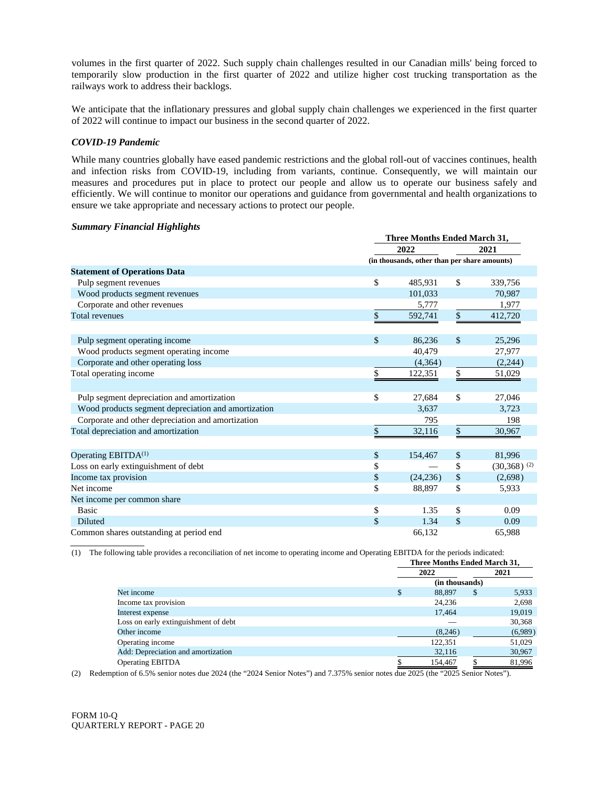volumes in the first quarter of 2022. Such supply chain challenges resulted in our Canadian mills' being forced to temporarily slow production in the first quarter of 2022 and utilize higher cost trucking transportation as the railways work to address their backlogs.

We anticipate that the inflationary pressures and global supply chain challenges we experienced in the first quarter of 2022 will continue to impact our business in the second quarter of 2022.

#### *COVID-19 Pandemic*

While many countries globally have eased pandemic restrictions and the global roll-out of vaccines continues, health and infection risks from COVID-19, including from variants, continue. Consequently, we will maintain our measures and procedures put in place to protect our people and allow us to operate our business safely and efficiently. We will continue to monitor our operations and guidance from governmental and health organizations to ensure we take appropriate and necessary actions to protect our people.

#### *Summary Financial Highlights*

|                                                     | <b>Three Months Ended March 31,</b> |                                              |                           |  |  |  |
|-----------------------------------------------------|-------------------------------------|----------------------------------------------|---------------------------|--|--|--|
|                                                     | 2022                                |                                              | 2021                      |  |  |  |
|                                                     |                                     | (in thousands, other than per share amounts) |                           |  |  |  |
| <b>Statement of Operations Data</b>                 |                                     |                                              |                           |  |  |  |
| Pulp segment revenues                               | \$<br>485,931                       | \$                                           | 339,756                   |  |  |  |
| Wood products segment revenues                      | 101,033                             |                                              | 70,987                    |  |  |  |
| Corporate and other revenues                        | 5,777                               |                                              | 1,977                     |  |  |  |
| <b>Total revenues</b>                               | \$<br>592,741                       | $\$$                                         | 412,720                   |  |  |  |
|                                                     |                                     |                                              |                           |  |  |  |
| Pulp segment operating income                       | \$<br>86,236                        | $\mathbb{S}$                                 | 25,296                    |  |  |  |
| Wood products segment operating income              | 40.479                              |                                              | 27,977                    |  |  |  |
| Corporate and other operating loss                  | (4,364)                             |                                              | (2,244)                   |  |  |  |
| Total operating income                              | \$<br>122,351                       | \$                                           | 51,029                    |  |  |  |
|                                                     |                                     |                                              |                           |  |  |  |
| Pulp segment depreciation and amortization          | \$<br>27,684                        | \$                                           | 27,046                    |  |  |  |
| Wood products segment depreciation and amortization | 3,637                               |                                              | 3,723                     |  |  |  |
| Corporate and other depreciation and amortization   | 795                                 |                                              | 198                       |  |  |  |
| Total depreciation and amortization                 | \$<br>32,116                        | \$                                           | 30,967                    |  |  |  |
|                                                     |                                     |                                              |                           |  |  |  |
| Operating EBITDA <sup>(1)</sup>                     | \$<br>154,467                       | \$                                           | 81,996                    |  |  |  |
| Loss on early extinguishment of debt                | \$                                  | \$                                           | $(30,368)$ <sup>(2)</sup> |  |  |  |
| Income tax provision                                | \$<br>(24, 236)                     | $\$\,$                                       | (2,698)                   |  |  |  |
| Net income                                          | \$<br>88,897                        | \$                                           | 5,933                     |  |  |  |
| Net income per common share                         |                                     |                                              |                           |  |  |  |
| <b>Basic</b>                                        | \$<br>1.35                          | \$                                           | 0.09                      |  |  |  |
| <b>Diluted</b>                                      | \$<br>1.34                          | \$                                           | 0.09                      |  |  |  |
| Common shares outstanding at period end             | 66.132                              |                                              | 65,988                    |  |  |  |

(1) The following table provides a reconciliation of net income to operating income and Operating EBITDA for the periods indicated:

|                                      | Three Months Ended March 31, |    |         |  |
|--------------------------------------|------------------------------|----|---------|--|
|                                      | 2022                         |    | 2021    |  |
|                                      | (in thousands)               |    |         |  |
| Net income                           | 88,897                       | \$ | 5,933   |  |
| Income tax provision                 | 24.236                       |    | 2,698   |  |
| Interest expense                     | 17.464                       |    | 19,019  |  |
| Loss on early extinguishment of debt |                              |    | 30,368  |  |
| Other income                         | (8,246)                      |    | (6,989) |  |
| Operating income                     | 122.351                      |    | 51,029  |  |
| Add: Depreciation and amortization   | 32,116                       |    | 30,967  |  |
| <b>Operating EBITDA</b>              | 154.467                      |    | 81.996  |  |

(2) Redemption of 6.5% senior notes due 2024 (the "2024 Senior Notes") and 7.375% senior notes due 2025 (the "2025 Senior Notes").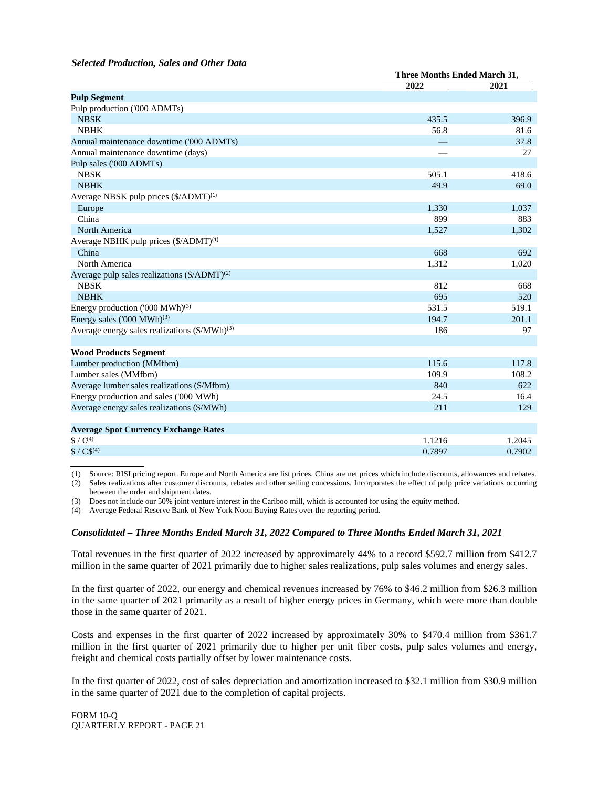#### *Selected Production, Sales and Other Data*

|                                                           | <b>Three Months Ended March 31,</b> |        |  |
|-----------------------------------------------------------|-------------------------------------|--------|--|
|                                                           | 2022                                | 2021   |  |
| <b>Pulp Segment</b>                                       |                                     |        |  |
| Pulp production ('000 ADMTs)                              |                                     |        |  |
| <b>NBSK</b>                                               | 435.5                               | 396.9  |  |
| <b>NBHK</b>                                               | 56.8                                | 81.6   |  |
| Annual maintenance downtime ('000 ADMTs)                  |                                     | 37.8   |  |
| Annual maintenance downtime (days)                        |                                     | 27     |  |
| Pulp sales ('000 ADMTs)                                   |                                     |        |  |
| <b>NBSK</b>                                               | 505.1                               | 418.6  |  |
| <b>NBHK</b>                                               | 49.9                                | 69.0   |  |
| Average NBSK pulp prices (\$/ADMT) <sup>(1)</sup>         |                                     |        |  |
| Europe                                                    | 1,330                               | 1,037  |  |
| China                                                     | 899                                 | 883    |  |
| North America                                             | 1,527                               | 1,302  |  |
| Average NBHK pulp prices (\$/ADMT) <sup>(1)</sup>         |                                     |        |  |
| China                                                     | 668                                 | 692    |  |
| North America                                             | 1,312                               | 1,020  |  |
| Average pulp sales realizations $(\frac{5}{ADMT})^{(2)}$  |                                     |        |  |
| <b>NBSK</b>                                               | 812                                 | 668    |  |
| <b>NBHK</b>                                               | 695                                 | 520    |  |
| Energy production ('000 MWh) <sup>(3)</sup>               | 531.5                               | 519.1  |  |
| Energy sales $(000 \text{ MWh})^{(3)}$                    | 194.7                               | 201.1  |  |
| Average energy sales realizations $(\frac{5}{MWh})^{(3)}$ | 186                                 | 97     |  |
|                                                           |                                     |        |  |
| <b>Wood Products Segment</b>                              |                                     |        |  |
| Lumber production (MMfbm)                                 | 115.6                               | 117.8  |  |
| Lumber sales (MMfbm)                                      | 109.9                               | 108.2  |  |
| Average lumber sales realizations (\$/Mfbm)               | 840                                 | 622    |  |
| Energy production and sales ('000 MWh)                    | 24.5                                | 16.4   |  |
| Average energy sales realizations (\$/MWh)                | 211                                 | 129    |  |
|                                                           |                                     |        |  |
| <b>Average Spot Currency Exchange Rates</b>               |                                     |        |  |
| $$/ \infty$ <sup>49</sup>                                 | 1.1216                              | 1.2045 |  |
| $$ / C\$ (4)                                              | 0.7897                              | 0.7902 |  |

(1) Source: RISI pricing report. Europe and North America are list prices. China are net prices which include discounts, allowances and rebates.

(2) Sales realizations after customer discounts, rebates and other selling concessions. Incorporates the effect of pulp price variations occurring between the order and shipment dates.

(3) Does not include our 50% joint venture interest in the Cariboo mill, which is accounted for using the equity method.

(4) Average Federal Reserve Bank of New York Noon Buying Rates over the reporting period.

# *Consolidated – Three Months Ended March 31, 2022 Compared to Three Months Ended March 31, 2021*

Total revenues in the first quarter of 2022 increased by approximately 44% to a record \$592.7 million from \$412.7 million in the same quarter of 2021 primarily due to higher sales realizations, pulp sales volumes and energy sales.

In the first quarter of 2022, our energy and chemical revenues increased by 76% to \$46.2 million from \$26.3 million in the same quarter of 2021 primarily as a result of higher energy prices in Germany, which were more than double those in the same quarter of 2021.

Costs and expenses in the first quarter of 2022 increased by approximately 30% to \$470.4 million from \$361.7 million in the first quarter of 2021 primarily due to higher per unit fiber costs, pulp sales volumes and energy, freight and chemical costs partially offset by lower maintenance costs.

In the first quarter of 2022, cost of sales depreciation and amortization increased to \$32.1 million from \$30.9 million in the same quarter of 2021 due to the completion of capital projects.

FORM 10-Q QUARTERLY REPORT - PAGE 21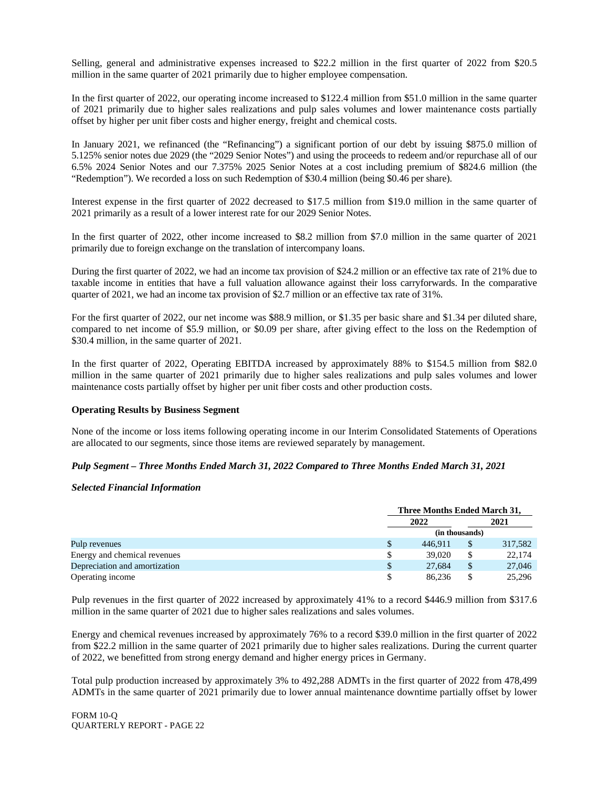Selling, general and administrative expenses increased to \$22.2 million in the first quarter of 2022 from \$20.5 million in the same quarter of 2021 primarily due to higher employee compensation.

In the first quarter of 2022, our operating income increased to \$122.4 million from \$51.0 million in the same quarter of 2021 primarily due to higher sales realizations and pulp sales volumes and lower maintenance costs partially offset by higher per unit fiber costs and higher energy, freight and chemical costs.

In January 2021, we refinanced (the "Refinancing") a significant portion of our debt by issuing \$875.0 million of 5.125% senior notes due 2029 (the "2029 Senior Notes") and using the proceeds to redeem and/or repurchase all of our 6.5% 2024 Senior Notes and our 7.375% 2025 Senior Notes at a cost including premium of \$824.6 million (the "Redemption"). We recorded a loss on such Redemption of \$30.4 million (being \$0.46 per share).

Interest expense in the first quarter of 2022 decreased to \$17.5 million from \$19.0 million in the same quarter of 2021 primarily as a result of a lower interest rate for our 2029 Senior Notes.

In the first quarter of 2022, other income increased to \$8.2 million from \$7.0 million in the same quarter of 2021 primarily due to foreign exchange on the translation of intercompany loans.

During the first quarter of 2022, we had an income tax provision of \$24.2 million or an effective tax rate of 21% due to taxable income in entities that have a full valuation allowance against their loss carryforwards. In the comparative quarter of 2021, we had an income tax provision of \$2.7 million or an effective tax rate of 31%.

For the first quarter of 2022, our net income was \$88.9 million, or \$1.35 per basic share and \$1.34 per diluted share, compared to net income of \$5.9 million, or \$0.09 per share, after giving effect to the loss on the Redemption of \$30.4 million, in the same quarter of 2021.

In the first quarter of 2022, Operating EBITDA increased by approximately 88% to \$154.5 million from \$82.0 million in the same quarter of 2021 primarily due to higher sales realizations and pulp sales volumes and lower maintenance costs partially offset by higher per unit fiber costs and other production costs.

#### **Operating Results by Business Segment**

None of the income or loss items following operating income in our Interim Consolidated Statements of Operations are allocated to our segments, since those items are reviewed separately by management.

#### *Pulp Segment – Three Months Ended March 31, 2022 Compared to Three Months Ended March 31, 2021*

#### *Selected Financial Information*

|                               | Three Months Ended March 31, |    |         |
|-------------------------------|------------------------------|----|---------|
|                               | 2022                         |    | 2021    |
|                               | (in thousands)               |    |         |
| Pulp revenues                 | 446.911                      | \$ | 317,582 |
| Energy and chemical revenues  | 39,020                       | \$ | 22,174  |
| Depreciation and amortization | 27.684                       | \$ | 27,046  |
| Operating income              | 86.236                       |    | 25,296  |

Pulp revenues in the first quarter of 2022 increased by approximately 41% to a record \$446.9 million from \$317.6 million in the same quarter of 2021 due to higher sales realizations and sales volumes.

Energy and chemical revenues increased by approximately 76% to a record \$39.0 million in the first quarter of 2022 from \$22.2 million in the same quarter of 2021 primarily due to higher sales realizations. During the current quarter of 2022, we benefitted from strong energy demand and higher energy prices in Germany.

Total pulp production increased by approximately 3% to 492,288 ADMTs in the first quarter of 2022 from 478,499 ADMTs in the same quarter of 2021 primarily due to lower annual maintenance downtime partially offset by lower

FORM 10-Q QUARTERLY REPORT - PAGE 22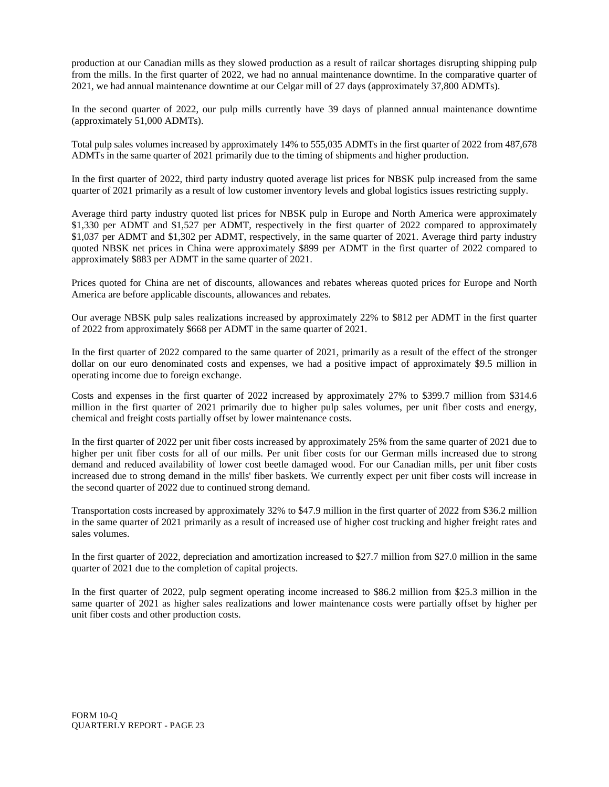production at our Canadian mills as they slowed production as a result of railcar shortages disrupting shipping pulp from the mills. In the first quarter of 2022, we had no annual maintenance downtime. In the comparative quarter of 2021, we had annual maintenance downtime at our Celgar mill of 27 days (approximately 37,800 ADMTs).

In the second quarter of 2022, our pulp mills currently have 39 days of planned annual maintenance downtime (approximately 51,000 ADMTs).

Total pulp sales volumes increased by approximately 14% to 555,035 ADMTs in the first quarter of 2022 from 487,678 ADMTs in the same quarter of 2021 primarily due to the timing of shipments and higher production.

In the first quarter of 2022, third party industry quoted average list prices for NBSK pulp increased from the same quarter of 2021 primarily as a result of low customer inventory levels and global logistics issues restricting supply.

Average third party industry quoted list prices for NBSK pulp in Europe and North America were approximately \$1,330 per ADMT and \$1,527 per ADMT, respectively in the first quarter of 2022 compared to approximately \$1,037 per ADMT and \$1,302 per ADMT, respectively, in the same quarter of 2021. Average third party industry quoted NBSK net prices in China were approximately \$899 per ADMT in the first quarter of 2022 compared to approximately \$883 per ADMT in the same quarter of 2021.

Prices quoted for China are net of discounts, allowances and rebates whereas quoted prices for Europe and North America are before applicable discounts, allowances and rebates.

Our average NBSK pulp sales realizations increased by approximately 22% to \$812 per ADMT in the first quarter of 2022 from approximately \$668 per ADMT in the same quarter of 2021.

In the first quarter of 2022 compared to the same quarter of 2021, primarily as a result of the effect of the stronger dollar on our euro denominated costs and expenses, we had a positive impact of approximately \$9.5 million in operating income due to foreign exchange.

Costs and expenses in the first quarter of 2022 increased by approximately 27% to \$399.7 million from \$314.6 million in the first quarter of 2021 primarily due to higher pulp sales volumes, per unit fiber costs and energy, chemical and freight costs partially offset by lower maintenance costs.

In the first quarter of 2022 per unit fiber costs increased by approximately 25% from the same quarter of 2021 due to higher per unit fiber costs for all of our mills. Per unit fiber costs for our German mills increased due to strong demand and reduced availability of lower cost beetle damaged wood. For our Canadian mills, per unit fiber costs increased due to strong demand in the mills' fiber baskets. We currently expect per unit fiber costs will increase in the second quarter of 2022 due to continued strong demand.

Transportation costs increased by approximately 32% to \$47.9 million in the first quarter of 2022 from \$36.2 million in the same quarter of 2021 primarily as a result of increased use of higher cost trucking and higher freight rates and sales volumes.

In the first quarter of 2022, depreciation and amortization increased to \$27.7 million from \$27.0 million in the same quarter of 2021 due to the completion of capital projects.

In the first quarter of 2022, pulp segment operating income increased to \$86.2 million from \$25.3 million in the same quarter of 2021 as higher sales realizations and lower maintenance costs were partially offset by higher per unit fiber costs and other production costs.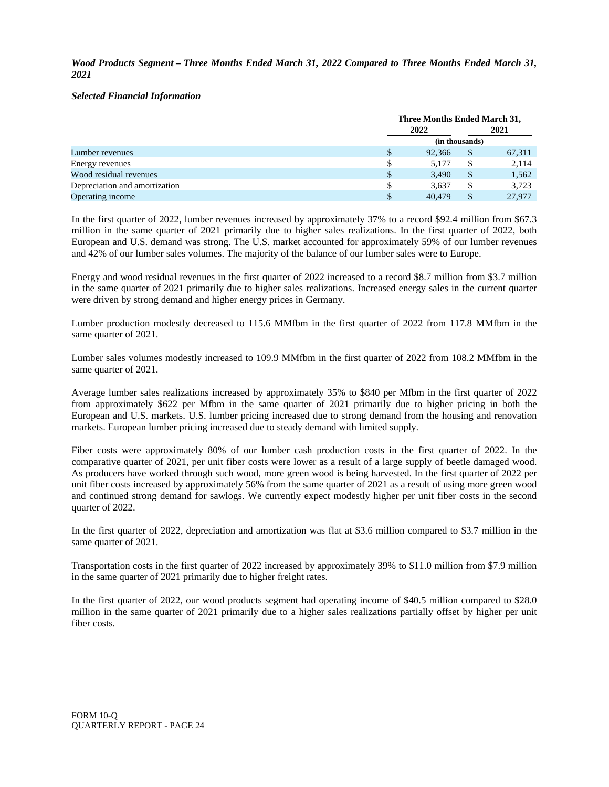*Wood Products Segment – Three Months Ended March 31, 2022 Compared to Three Months Ended March 31, 2021*

#### *Selected Financial Information*

|                               |  | Three Months Ended March 31, |                |        |  |
|-------------------------------|--|------------------------------|----------------|--------|--|
|                               |  | 2022                         |                | 2021   |  |
|                               |  |                              | (in thousands) |        |  |
| Lumber revenues               |  | 92,366                       | \$             | 67,311 |  |
| Energy revenues               |  | 5.177                        |                | 2,114  |  |
| Wood residual revenues        |  | 3,490                        | \$             | 1,562  |  |
| Depreciation and amortization |  | 3.637                        |                | 3,723  |  |
| Operating income              |  | 40.479                       |                | 27,977 |  |

In the first quarter of 2022, lumber revenues increased by approximately 37% to a record \$92.4 million from \$67.3 million in the same quarter of 2021 primarily due to higher sales realizations. In the first quarter of 2022, both European and U.S. demand was strong. The U.S. market accounted for approximately 59% of our lumber revenues and 42% of our lumber sales volumes. The majority of the balance of our lumber sales were to Europe.

Energy and wood residual revenues in the first quarter of 2022 increased to a record \$8.7 million from \$3.7 million in the same quarter of 2021 primarily due to higher sales realizations. Increased energy sales in the current quarter were driven by strong demand and higher energy prices in Germany.

Lumber production modestly decreased to 115.6 MMfbm in the first quarter of 2022 from 117.8 MMfbm in the same quarter of 2021.

Lumber sales volumes modestly increased to 109.9 MMfbm in the first quarter of 2022 from 108.2 MMfbm in the same quarter of 2021.

Average lumber sales realizations increased by approximately 35% to \$840 per Mfbm in the first quarter of 2022 from approximately \$622 per Mfbm in the same quarter of 2021 primarily due to higher pricing in both the European and U.S. markets. U.S. lumber pricing increased due to strong demand from the housing and renovation markets. European lumber pricing increased due to steady demand with limited supply.

Fiber costs were approximately 80% of our lumber cash production costs in the first quarter of 2022. In the comparative quarter of 2021, per unit fiber costs were lower as a result of a large supply of beetle damaged wood. As producers have worked through such wood, more green wood is being harvested. In the first quarter of 2022 per unit fiber costs increased by approximately 56% from the same quarter of 2021 as a result of using more green wood and continued strong demand for sawlogs. We currently expect modestly higher per unit fiber costs in the second quarter of 2022.

In the first quarter of 2022, depreciation and amortization was flat at \$3.6 million compared to \$3.7 million in the same quarter of 2021.

Transportation costs in the first quarter of 2022 increased by approximately 39% to \$11.0 million from \$7.9 million in the same quarter of 2021 primarily due to higher freight rates.

In the first quarter of 2022, our wood products segment had operating income of \$40.5 million compared to \$28.0 million in the same quarter of 2021 primarily due to a higher sales realizations partially offset by higher per unit fiber costs.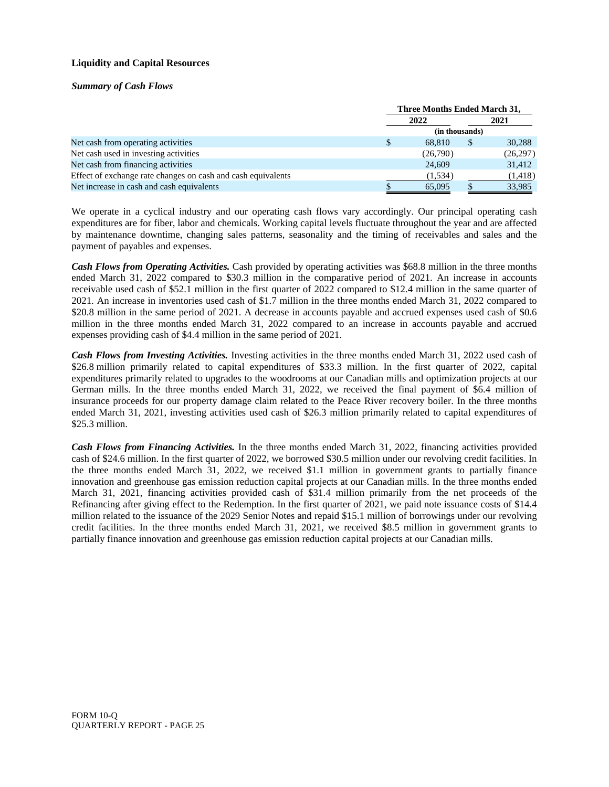# **Liquidity and Capital Resources**

#### *Summary of Cash Flows*

|                                                              | Three Months Ended March 31, |    |           |  |
|--------------------------------------------------------------|------------------------------|----|-----------|--|
|                                                              | 2022                         |    | 2021      |  |
|                                                              | (in thousands)               |    |           |  |
| Net cash from operating activities                           | 68.810                       | \$ | 30,288    |  |
| Net cash used in investing activities                        | (26,790)                     |    | (26, 297) |  |
| Net cash from financing activities                           | 24,609                       |    | 31,412    |  |
| Effect of exchange rate changes on cash and cash equivalents | (1,534)                      |    | (1, 418)  |  |
| Net increase in cash and cash equivalents                    | 65,095                       |    | 33,985    |  |

We operate in a cyclical industry and our operating cash flows vary accordingly. Our principal operating cash expenditures are for fiber, labor and chemicals. Working capital levels fluctuate throughout the year and are affected by maintenance downtime, changing sales patterns, seasonality and the timing of receivables and sales and the payment of payables and expenses.

*Cash Flows from Operating Activities.* Cash provided by operating activities was \$68.8 million in the three months ended March 31, 2022 compared to \$30.3 million in the comparative period of 2021. An increase in accounts receivable used cash of \$52.1 million in the first quarter of 2022 compared to \$12.4 million in the same quarter of 2021. An increase in inventories used cash of \$1.7 million in the three months ended March 31, 2022 compared to \$20.8 million in the same period of 2021. A decrease in accounts payable and accrued expenses used cash of \$0.6 million in the three months ended March 31, 2022 compared to an increase in accounts payable and accrued expenses providing cash of \$4.4 million in the same period of 2021.

*Cash Flows from Investing Activities.* Investing activities in the three months ended March 31, 2022 used cash of \$26.8 million primarily related to capital expenditures of \$33.3 million. In the first quarter of 2022, capital expenditures primarily related to upgrades to the woodrooms at our Canadian mills and optimization projects at our German mills. In the three months ended March 31, 2022, we received the final payment of \$6.4 million of insurance proceeds for our property damage claim related to the Peace River recovery boiler. In the three months ended March 31, 2021, investing activities used cash of \$26.3 million primarily related to capital expenditures of \$25.3 million.

*Cash Flows from Financing Activities.* In the three months ended March 31, 2022, financing activities provided cash of \$24.6 million. In the first quarter of 2022, we borrowed \$30.5 million under our revolving credit facilities. In the three months ended March 31, 2022, we received \$1.1 million in government grants to partially finance innovation and greenhouse gas emission reduction capital projects at our Canadian mills. In the three months ended March 31, 2021, financing activities provided cash of \$31.4 million primarily from the net proceeds of the Refinancing after giving effect to the Redemption. In the first quarter of 2021, we paid note issuance costs of \$14.4 million related to the issuance of the 2029 Senior Notes and repaid \$15.1 million of borrowings under our revolving credit facilities. In the three months ended March 31, 2021, we received \$8.5 million in government grants to partially finance innovation and greenhouse gas emission reduction capital projects at our Canadian mills.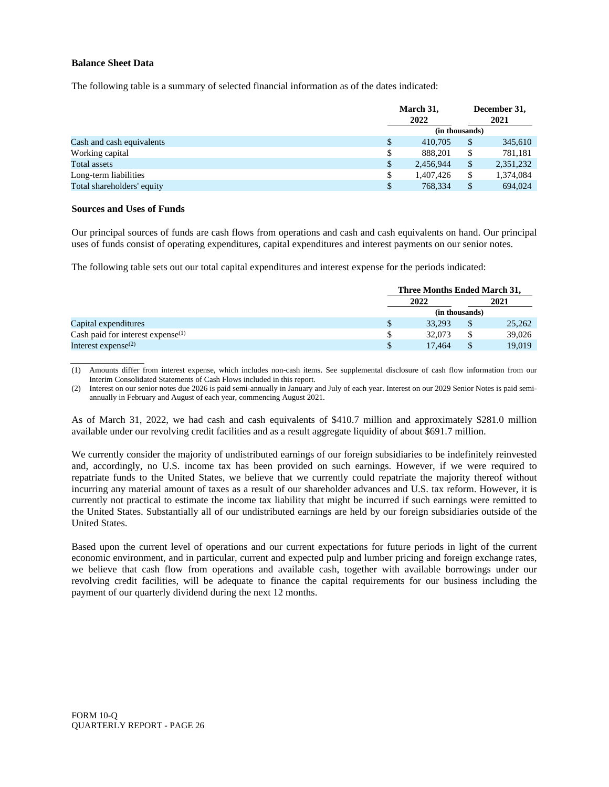#### **Balance Sheet Data**

The following table is a summary of selected financial information as of the dates indicated:

|                            |    | March 31,<br>2022 |    | December 31,<br>2021 |  |
|----------------------------|----|-------------------|----|----------------------|--|
|                            |    | (in thousands)    |    |                      |  |
| Cash and cash equivalents  | \$ | 410,705           | \$ | 345,610              |  |
| Working capital            | D  | 888.201           | \$ | 781,181              |  |
| <b>Total assets</b>        |    | 2,456,944         | \$ | 2,351,232            |  |
| Long-term liabilities      |    | 1,407,426         | \$ | 1,374,084            |  |
| Total shareholders' equity |    | 768.334           | \$ | 694.024              |  |

#### **Sources and Uses of Funds**

Our principal sources of funds are cash flows from operations and cash and cash equivalents on hand. Our principal uses of funds consist of operating expenditures, capital expenditures and interest payments on our senior notes.

The following table sets out our total capital expenditures and interest expense for the periods indicated:

|                                               | Three Months Ended March 31, |  |        |  |
|-----------------------------------------------|------------------------------|--|--------|--|
|                                               | 2022                         |  | 2021   |  |
|                                               | (in thousands)               |  |        |  |
| Capital expenditures                          | 33.293                       |  | 25,262 |  |
| Cash paid for interest expense <sup>(1)</sup> | 32,073                       |  | 39,026 |  |
| Interest expense $^{(2)}$                     | 17.464                       |  | 19,019 |  |

(1) Amounts differ from interest expense, which includes non-cash items. See supplemental disclosure of cash flow information from our Interim Consolidated Statements of Cash Flows included in this report.

(2) Interest on our senior notes due 2026 is paid semi-annually in January and July of each year. Interest on our 2029 Senior Notes is paid semiannually in February and August of each year, commencing August 2021.

As of March 31, 2022, we had cash and cash equivalents of \$410.7 million and approximately \$281.0 million available under our revolving credit facilities and as a result aggregate liquidity of about \$691.7 million.

We currently consider the majority of undistributed earnings of our foreign subsidiaries to be indefinitely reinvested and, accordingly, no U.S. income tax has been provided on such earnings. However, if we were required to repatriate funds to the United States, we believe that we currently could repatriate the majority thereof without incurring any material amount of taxes as a result of our shareholder advances and U.S. tax reform. However, it is currently not practical to estimate the income tax liability that might be incurred if such earnings were remitted to the United States. Substantially all of our undistributed earnings are held by our foreign subsidiaries outside of the United States.

Based upon the current level of operations and our current expectations for future periods in light of the current economic environment, and in particular, current and expected pulp and lumber pricing and foreign exchange rates, we believe that cash flow from operations and available cash, together with available borrowings under our revolving credit facilities, will be adequate to finance the capital requirements for our business including the payment of our quarterly dividend during the next 12 months.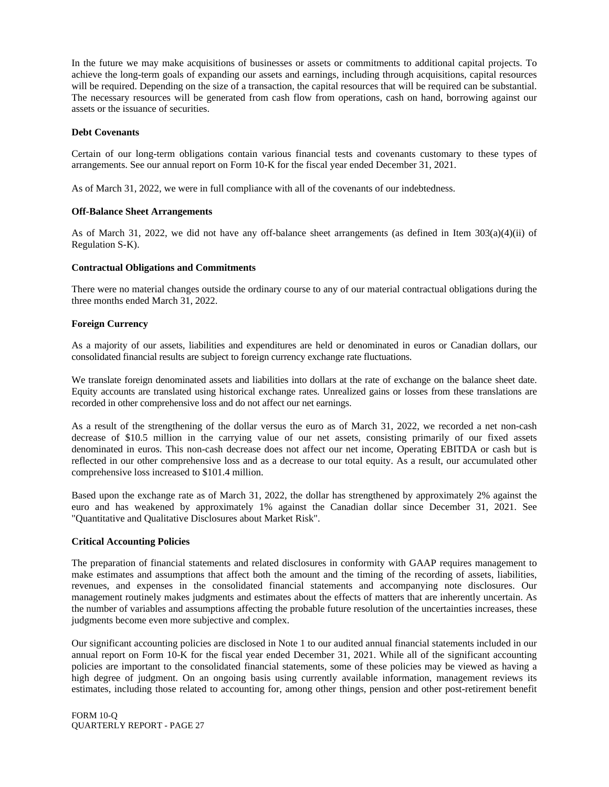In the future we may make acquisitions of businesses or assets or commitments to additional capital projects. To achieve the long-term goals of expanding our assets and earnings, including through acquisitions, capital resources will be required. Depending on the size of a transaction, the capital resources that will be required can be substantial. The necessary resources will be generated from cash flow from operations, cash on hand, borrowing against our assets or the issuance of securities.

#### **Debt Covenants**

Certain of our long-term obligations contain various financial tests and covenants customary to these types of arrangements. See our annual report on Form 10-K for the fiscal year ended December 31, 2021.

As of March 31, 2022, we were in full compliance with all of the covenants of our indebtedness.

#### **Off-Balance Sheet Arrangements**

As of March 31, 2022, we did not have any off-balance sheet arrangements (as defined in Item  $303(a)(4)(ii)$  of Regulation S-K).

#### **Contractual Obligations and Commitments**

There were no material changes outside the ordinary course to any of our material contractual obligations during the three months ended March 31, 2022.

#### **Foreign Currency**

As a majority of our assets, liabilities and expenditures are held or denominated in euros or Canadian dollars, our consolidated financial results are subject to foreign currency exchange rate fluctuations.

We translate foreign denominated assets and liabilities into dollars at the rate of exchange on the balance sheet date. Equity accounts are translated using historical exchange rates. Unrealized gains or losses from these translations are recorded in other comprehensive loss and do not affect our net earnings.

As a result of the strengthening of the dollar versus the euro as of March 31, 2022, we recorded a net non-cash decrease of \$10.5 million in the carrying value of our net assets, consisting primarily of our fixed assets denominated in euros. This non-cash decrease does not affect our net income, Operating EBITDA or cash but is reflected in our other comprehensive loss and as a decrease to our total equity. As a result, our accumulated other comprehensive loss increased to \$101.4 million.

Based upon the exchange rate as of March 31, 2022, the dollar has strengthened by approximately 2% against the euro and has weakened by approximately 1% against the Canadian dollar since December 31, 2021. See "Quantitative and Qualitative Disclosures about Market Risk".

#### **Critical Accounting Policies**

The preparation of financial statements and related disclosures in conformity with GAAP requires management to make estimates and assumptions that affect both the amount and the timing of the recording of assets, liabilities, revenues, and expenses in the consolidated financial statements and accompanying note disclosures. Our management routinely makes judgments and estimates about the effects of matters that are inherently uncertain. As the number of variables and assumptions affecting the probable future resolution of the uncertainties increases, these judgments become even more subjective and complex.

Our significant accounting policies are disclosed in Note 1 to our audited annual financial statements included in our annual report on Form 10-K for the fiscal year ended December 31, 2021. While all of the significant accounting policies are important to the consolidated financial statements, some of these policies may be viewed as having a high degree of judgment. On an ongoing basis using currently available information, management reviews its estimates, including those related to accounting for, among other things, pension and other post-retirement benefit

FORM 10-Q QUARTERLY REPORT - PAGE 27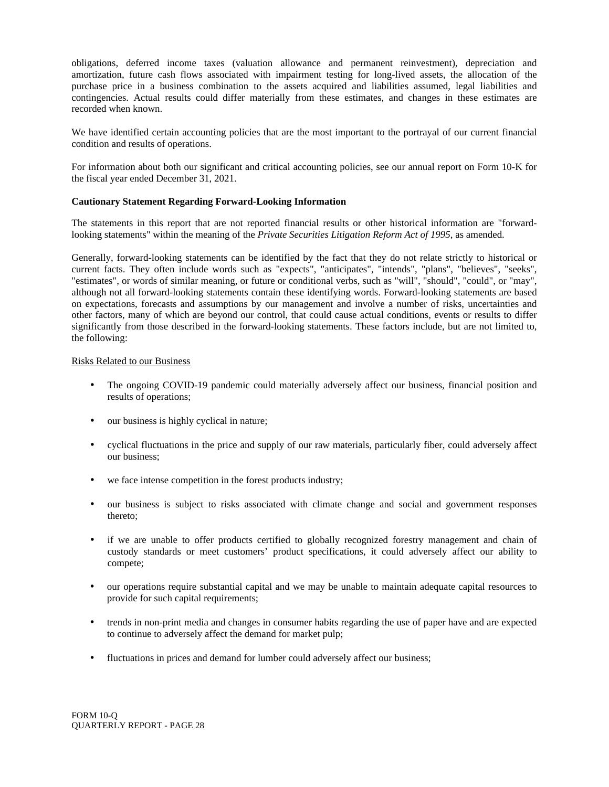obligations, deferred income taxes (valuation allowance and permanent reinvestment), depreciation and amortization, future cash flows associated with impairment testing for long-lived assets, the allocation of the purchase price in a business combination to the assets acquired and liabilities assumed, legal liabilities and contingencies. Actual results could differ materially from these estimates, and changes in these estimates are recorded when known.

We have identified certain accounting policies that are the most important to the portrayal of our current financial condition and results of operations.

For information about both our significant and critical accounting policies, see our annual report on Form 10-K for the fiscal year ended December 31, 2021.

#### **Cautionary Statement Regarding Forward-Looking Information**

The statements in this report that are not reported financial results or other historical information are "forwardlooking statements" within the meaning of the *Private Securities Litigation Reform Act of 1995*, as amended.

Generally, forward-looking statements can be identified by the fact that they do not relate strictly to historical or current facts. They often include words such as "expects", "anticipates", "intends", "plans", "believes", "seeks", "estimates", or words of similar meaning, or future or conditional verbs, such as "will", "should", "could", or "may", although not all forward-looking statements contain these identifying words. Forward-looking statements are based on expectations, forecasts and assumptions by our management and involve a number of risks, uncertainties and other factors, many of which are beyond our control, that could cause actual conditions, events or results to differ significantly from those described in the forward-looking statements. These factors include, but are not limited to, the following:

# Risks Related to our Business

- The ongoing COVID-19 pandemic could materially adversely affect our business, financial position and results of operations;
- our business is highly cyclical in nature;
- cyclical fluctuations in the price and supply of our raw materials, particularly fiber, could adversely affect our business;
- we face intense competition in the forest products industry;
- our business is subject to risks associated with climate change and social and government responses thereto;
- if we are unable to offer products certified to globally recognized forestry management and chain of custody standards or meet customers' product specifications, it could adversely affect our ability to compete;
- our operations require substantial capital and we may be unable to maintain adequate capital resources to provide for such capital requirements;
- trends in non-print media and changes in consumer habits regarding the use of paper have and are expected to continue to adversely affect the demand for market pulp;
- fluctuations in prices and demand for lumber could adversely affect our business;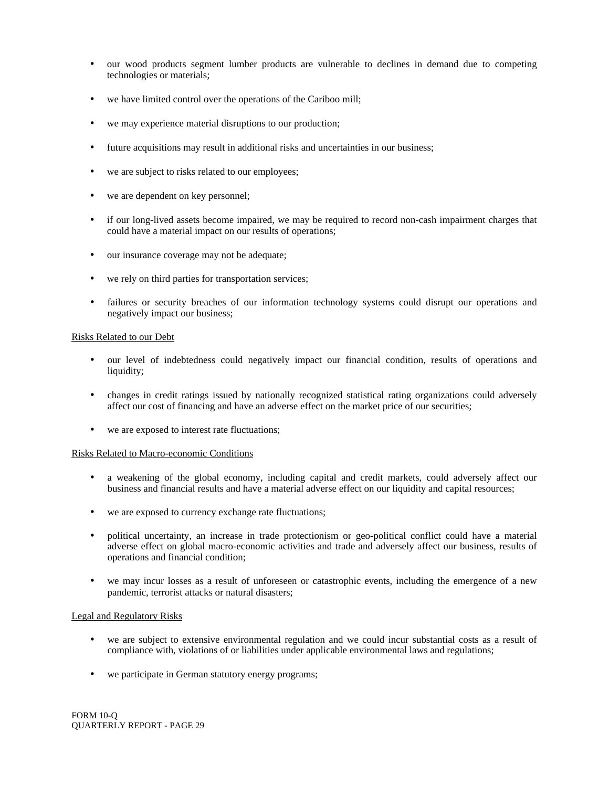- our wood products segment lumber products are vulnerable to declines in demand due to competing technologies or materials;
- we have limited control over the operations of the Cariboo mill;
- we may experience material disruptions to our production;
- future acquisitions may result in additional risks and uncertainties in our business;
- we are subject to risks related to our employees;
- we are dependent on key personnel;
- if our long-lived assets become impaired, we may be required to record non-cash impairment charges that could have a material impact on our results of operations;
- our insurance coverage may not be adequate;
- we rely on third parties for transportation services;
- failures or security breaches of our information technology systems could disrupt our operations and negatively impact our business;

#### Risks Related to our Debt

- our level of indebtedness could negatively impact our financial condition, results of operations and liquidity;
- changes in credit ratings issued by nationally recognized statistical rating organizations could adversely affect our cost of financing and have an adverse effect on the market price of our securities;
- we are exposed to interest rate fluctuations;

#### Risks Related to Macro-economic Conditions

- a weakening of the global economy, including capital and credit markets, could adversely affect our business and financial results and have a material adverse effect on our liquidity and capital resources;
- we are exposed to currency exchange rate fluctuations;
- political uncertainty, an increase in trade protectionism or geo-political conflict could have a material adverse effect on global macro-economic activities and trade and adversely affect our business, results of operations and financial condition;
- we may incur losses as a result of unforeseen or catastrophic events, including the emergence of a new pandemic, terrorist attacks or natural disasters;

#### Legal and Regulatory Risks

- we are subject to extensive environmental regulation and we could incur substantial costs as a result of compliance with, violations of or liabilities under applicable environmental laws and regulations;
- we participate in German statutory energy programs;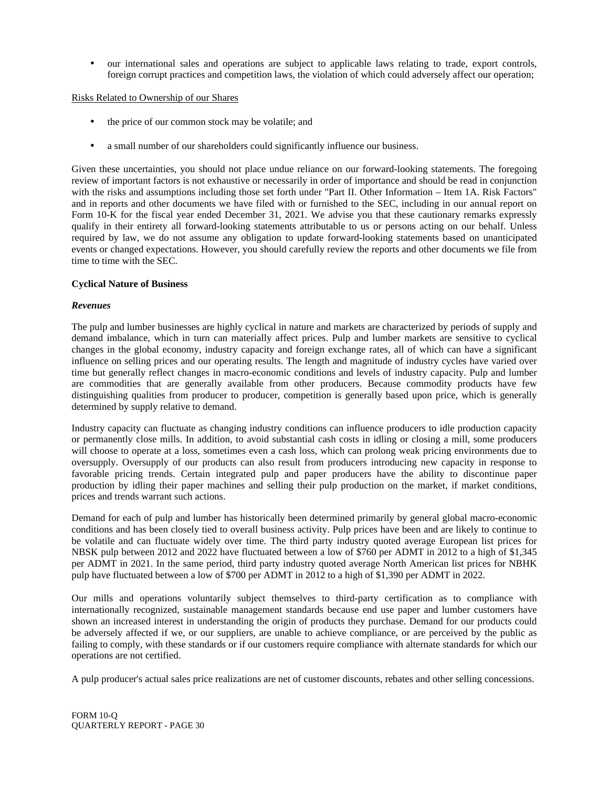• our international sales and operations are subject to applicable laws relating to trade, export controls, foreign corrupt practices and competition laws, the violation of which could adversely affect our operation;

Risks Related to Ownership of our Shares

- the price of our common stock may be volatile; and
- a small number of our shareholders could significantly influence our business.

Given these uncertainties, you should not place undue reliance on our forward-looking statements. The foregoing review of important factors is not exhaustive or necessarily in order of importance and should be read in conjunction with the risks and assumptions including those set forth under "Part II. Other Information – Item 1A. Risk Factors" and in reports and other documents we have filed with or furnished to the SEC, including in our annual report on Form 10-K for the fiscal year ended December 31, 2021. We advise you that these cautionary remarks expressly qualify in their entirety all forward-looking statements attributable to us or persons acting on our behalf. Unless required by law, we do not assume any obligation to update forward-looking statements based on unanticipated events or changed expectations. However, you should carefully review the reports and other documents we file from time to time with the SEC.

#### **Cyclical Nature of Business**

#### *Revenues*

The pulp and lumber businesses are highly cyclical in nature and markets are characterized by periods of supply and demand imbalance, which in turn can materially affect prices. Pulp and lumber markets are sensitive to cyclical changes in the global economy, industry capacity and foreign exchange rates, all of which can have a significant influence on selling prices and our operating results. The length and magnitude of industry cycles have varied over time but generally reflect changes in macro-economic conditions and levels of industry capacity. Pulp and lumber are commodities that are generally available from other producers. Because commodity products have few distinguishing qualities from producer to producer, competition is generally based upon price, which is generally determined by supply relative to demand.

Industry capacity can fluctuate as changing industry conditions can influence producers to idle production capacity or permanently close mills. In addition, to avoid substantial cash costs in idling or closing a mill, some producers will choose to operate at a loss, sometimes even a cash loss, which can prolong weak pricing environments due to oversupply. Oversupply of our products can also result from producers introducing new capacity in response to favorable pricing trends. Certain integrated pulp and paper producers have the ability to discontinue paper production by idling their paper machines and selling their pulp production on the market, if market conditions, prices and trends warrant such actions.

Demand for each of pulp and lumber has historically been determined primarily by general global macro-economic conditions and has been closely tied to overall business activity. Pulp prices have been and are likely to continue to be volatile and can fluctuate widely over time. The third party industry quoted average European list prices for NBSK pulp between 2012 and 2022 have fluctuated between a low of \$760 per ADMT in 2012 to a high of \$1,345 per ADMT in 2021. In the same period, third party industry quoted average North American list prices for NBHK pulp have fluctuated between a low of \$700 per ADMT in 2012 to a high of \$1,390 per ADMT in 2022.

Our mills and operations voluntarily subject themselves to third-party certification as to compliance with internationally recognized, sustainable management standards because end use paper and lumber customers have shown an increased interest in understanding the origin of products they purchase. Demand for our products could be adversely affected if we, or our suppliers, are unable to achieve compliance, or are perceived by the public as failing to comply, with these standards or if our customers require compliance with alternate standards for which our operations are not certified.

A pulp producer's actual sales price realizations are net of customer discounts, rebates and other selling concessions.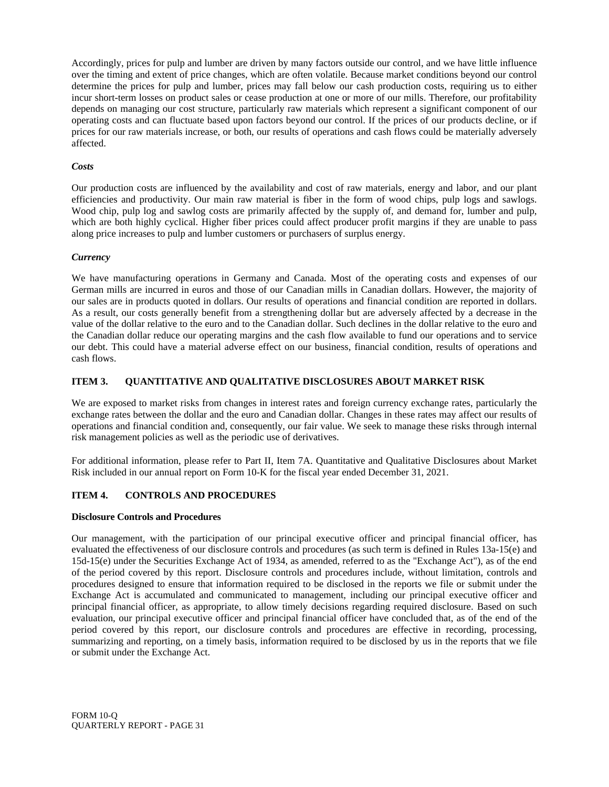Accordingly, prices for pulp and lumber are driven by many factors outside our control, and we have little influence over the timing and extent of price changes, which are often volatile. Because market conditions beyond our control determine the prices for pulp and lumber, prices may fall below our cash production costs, requiring us to either incur short-term losses on product sales or cease production at one or more of our mills. Therefore, our profitability depends on managing our cost structure, particularly raw materials which represent a significant component of our operating costs and can fluctuate based upon factors beyond our control. If the prices of our products decline, or if prices for our raw materials increase, or both, our results of operations and cash flows could be materially adversely affected.

# *Costs*

Our production costs are influenced by the availability and cost of raw materials, energy and labor, and our plant efficiencies and productivity. Our main raw material is fiber in the form of wood chips, pulp logs and sawlogs. Wood chip, pulp log and sawlog costs are primarily affected by the supply of, and demand for, lumber and pulp, which are both highly cyclical. Higher fiber prices could affect producer profit margins if they are unable to pass along price increases to pulp and lumber customers or purchasers of surplus energy.

#### *Currency*

We have manufacturing operations in Germany and Canada. Most of the operating costs and expenses of our German mills are incurred in euros and those of our Canadian mills in Canadian dollars. However, the majority of our sales are in products quoted in dollars. Our results of operations and financial condition are reported in dollars. As a result, our costs generally benefit from a strengthening dollar but are adversely affected by a decrease in the value of the dollar relative to the euro and to the Canadian dollar. Such declines in the dollar relative to the euro and the Canadian dollar reduce our operating margins and the cash flow available to fund our operations and to service our debt. This could have a material adverse effect on our business, financial condition, results of operations and cash flows.

# **ITEM 3. QUANTITATIVE AND QUALITATIVE DISCLOSURES ABOUT MARKET RISK**

We are exposed to market risks from changes in interest rates and foreign currency exchange rates, particularly the exchange rates between the dollar and the euro and Canadian dollar. Changes in these rates may affect our results of operations and financial condition and, consequently, our fair value. We seek to manage these risks through internal risk management policies as well as the periodic use of derivatives.

For additional information, please refer to Part II, Item 7A. Quantitative and Qualitative Disclosures about Market Risk included in our annual report on Form 10-K for the fiscal year ended December 31, 2021.

# **ITEM 4. CONTROLS AND PROCEDURES**

#### **Disclosure Controls and Procedures**

Our management, with the participation of our principal executive officer and principal financial officer, has evaluated the effectiveness of our disclosure controls and procedures (as such term is defined in Rules 13a-15(e) and 15d-15(e) under the Securities Exchange Act of 1934, as amended, referred to as the "Exchange Act"), as of the end of the period covered by this report. Disclosure controls and procedures include, without limitation, controls and procedures designed to ensure that information required to be disclosed in the reports we file or submit under the Exchange Act is accumulated and communicated to management, including our principal executive officer and principal financial officer, as appropriate, to allow timely decisions regarding required disclosure. Based on such evaluation, our principal executive officer and principal financial officer have concluded that, as of the end of the period covered by this report, our disclosure controls and procedures are effective in recording, processing, summarizing and reporting, on a timely basis, information required to be disclosed by us in the reports that we file or submit under the Exchange Act.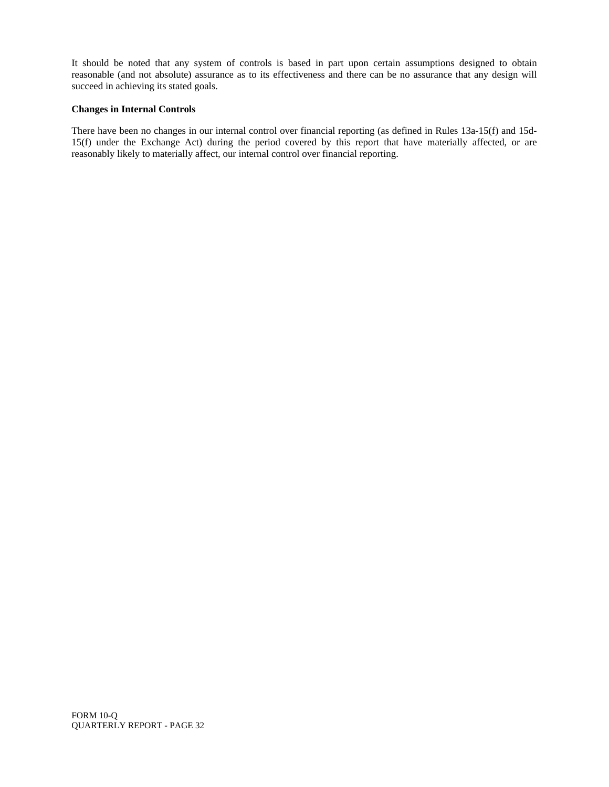It should be noted that any system of controls is based in part upon certain assumptions designed to obtain reasonable (and not absolute) assurance as to its effectiveness and there can be no assurance that any design will succeed in achieving its stated goals.

# **Changes in Internal Controls**

There have been no changes in our internal control over financial reporting (as defined in Rules 13a-15(f) and 15d-15(f) under the Exchange Act) during the period covered by this report that have materially affected, or are reasonably likely to materially affect, our internal control over financial reporting.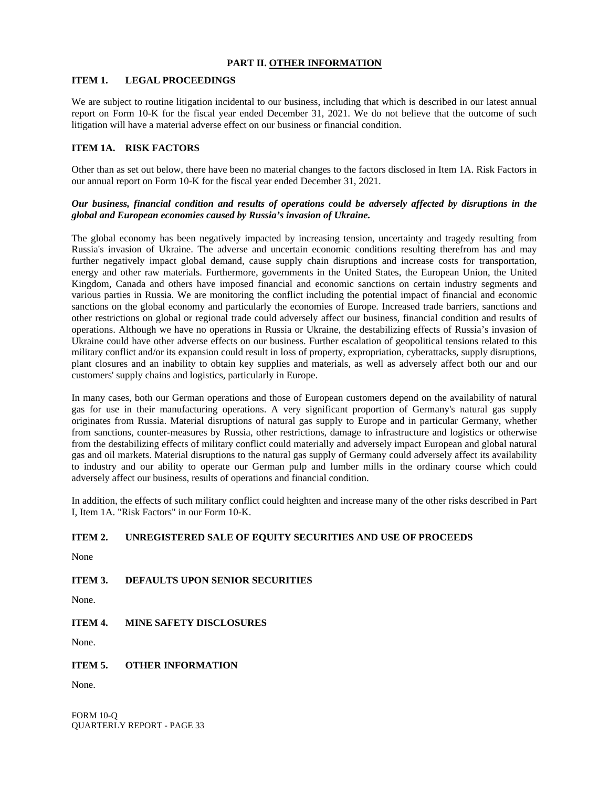# **PART II. OTHER INFORMATION**

# **ITEM 1. LEGAL PROCEEDINGS**

We are subject to routine litigation incidental to our business, including that which is described in our latest annual report on Form 10-K for the fiscal year ended December 31, 2021. We do not believe that the outcome of such litigation will have a material adverse effect on our business or financial condition.

# **ITEM 1A. RISK FACTORS**

Other than as set out below, there have been no material changes to the factors disclosed in Item 1A. Risk Factors in our annual report on Form 10-K for the fiscal year ended December 31, 2021.

# *Our business, financial condition and results of operations could be adversely affected by disruptions in the global and European economies caused by Russia's invasion of Ukraine.*

The global economy has been negatively impacted by increasing tension, uncertainty and tragedy resulting from Russia's invasion of Ukraine. The adverse and uncertain economic conditions resulting therefrom has and may further negatively impact global demand, cause supply chain disruptions and increase costs for transportation, energy and other raw materials. Furthermore, governments in the United States, the European Union, the United Kingdom, Canada and others have imposed financial and economic sanctions on certain industry segments and various parties in Russia. We are monitoring the conflict including the potential impact of financial and economic sanctions on the global economy and particularly the economies of Europe. Increased trade barriers, sanctions and other restrictions on global or regional trade could adversely affect our business, financial condition and results of operations. Although we have no operations in Russia or Ukraine, the destabilizing effects of Russia's invasion of Ukraine could have other adverse effects on our business. Further escalation of geopolitical tensions related to this military conflict and/or its expansion could result in loss of property, expropriation, cyberattacks, supply disruptions, plant closures and an inability to obtain key supplies and materials, as well as adversely affect both our and our customers' supply chains and logistics, particularly in Europe.

In many cases, both our German operations and those of European customers depend on the availability of natural gas for use in their manufacturing operations. A very significant proportion of Germany's natural gas supply originates from Russia. Material disruptions of natural gas supply to Europe and in particular Germany, whether from sanctions, counter-measures by Russia, other restrictions, damage to infrastructure and logistics or otherwise from the destabilizing effects of military conflict could materially and adversely impact European and global natural gas and oil markets. Material disruptions to the natural gas supply of Germany could adversely affect its availability to industry and our ability to operate our German pulp and lumber mills in the ordinary course which could adversely affect our business, results of operations and financial condition.

In addition, the effects of such military conflict could heighten and increase many of the other risks described in Part I, Item 1A. "Risk Factors" in our Form 10-K.

# **ITEM 2. UNREGISTERED SALE OF EQUITY SECURITIES AND USE OF PROCEEDS**

None

# **ITEM 3. DEFAULTS UPON SENIOR SECURITIES**

None.

# **ITEM 4. MINE SAFETY DISCLOSURES**

None.

# **ITEM 5. OTHER INFORMATION**

None.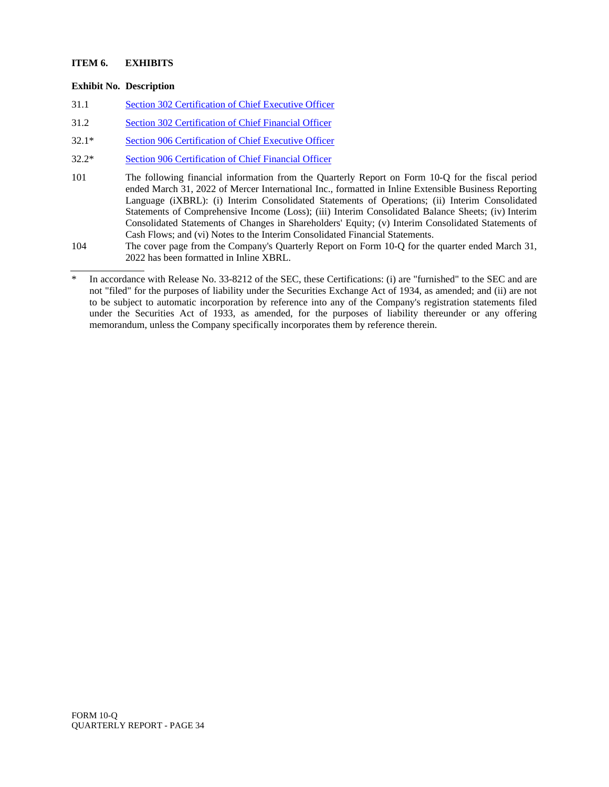# **ITEM 6. EXHIBITS**

# **Exhibit No. Description**

- 31.1 Section 302 Certification of Chief Executive Officer
- 31.2 Section 302 Certification of Chief Financial Officer
- 32.1\* Section 906 Certification of Chief Executive Officer
- 32.2\* Section 906 Certification of Chief Financial Officer
- 101 The following financial information from the Quarterly Report on Form 10-Q for the fiscal period ended March 31, 2022 of Mercer International Inc., formatted in Inline Extensible Business Reporting Language (iXBRL): (i) Interim Consolidated Statements of Operations; (ii) Interim Consolidated Statements of Comprehensive Income (Loss); (iii) Interim Consolidated Balance Sheets; (iv) Interim Consolidated Statements of Changes in Shareholders' Equity; (v) Interim Consolidated Statements of Cash Flows; and (vi) Notes to the Interim Consolidated Financial Statements.
- 104 The cover page from the Company's Quarterly Report on Form 10-Q for the quarter ended March 31, 2022 has been formatted in Inline XBRL.

In accordance with Release No. 33-8212 of the SEC, these Certifications: (i) are "furnished" to the SEC and are not "filed" for the purposes of liability under the Securities Exchange Act of 1934, as amended; and (ii) are not to be subject to automatic incorporation by reference into any of the Company's registration statements filed under the Securities Act of 1933, as amended, for the purposes of liability thereunder or any offering memorandum, unless the Company specifically incorporates them by reference therein.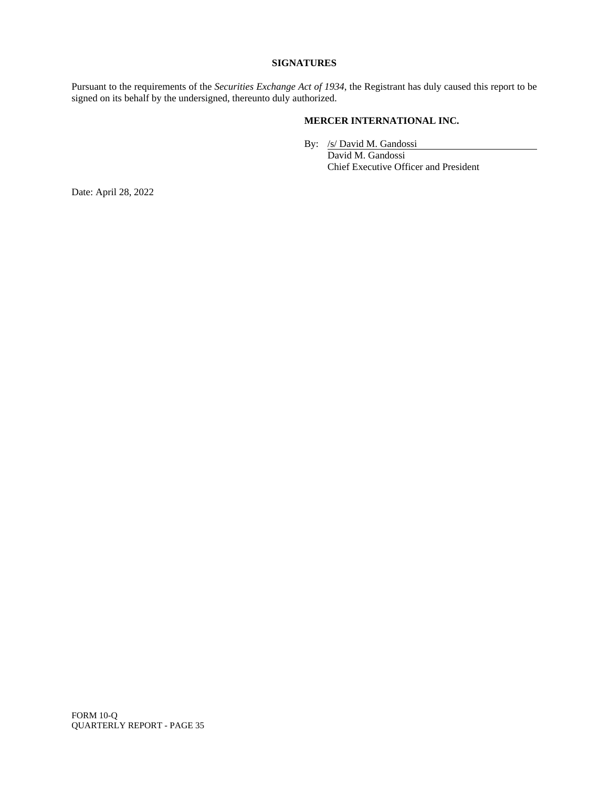#### **SIGNATURES**

Pursuant to the requirements of the *Securities Exchange Act of 1934*, the Registrant has duly caused this report to be signed on its behalf by the undersigned, thereunto duly authorized.

# **MERCER INTERNATIONAL INC.**

By: /s/ David M. Gandossi

David M. Gandossi Chief Executive Officer and President

Date: April 28, 2022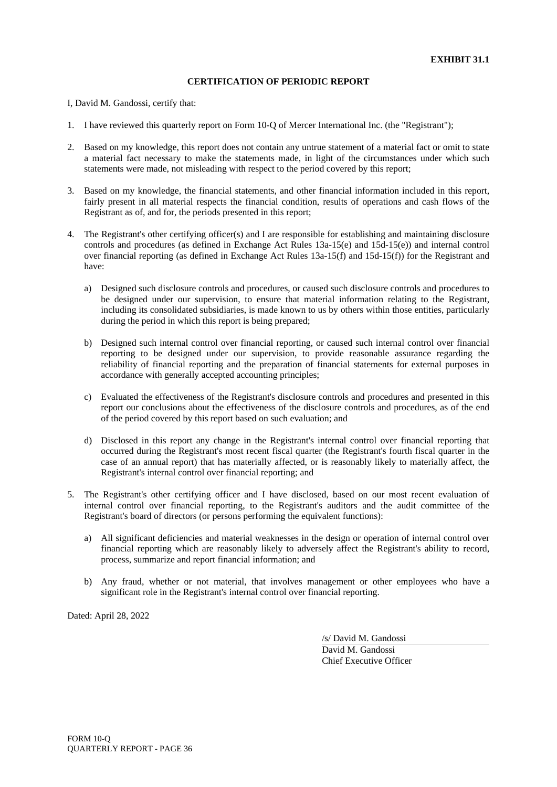I, David M. Gandossi, certify that:

- 1. I have reviewed this quarterly report on Form 10-Q of Mercer International Inc. (the "Registrant");
- 2. Based on my knowledge, this report does not contain any untrue statement of a material fact or omit to state a material fact necessary to make the statements made, in light of the circumstances under which such statements were made, not misleading with respect to the period covered by this report;
- 3. Based on my knowledge, the financial statements, and other financial information included in this report, fairly present in all material respects the financial condition, results of operations and cash flows of the Registrant as of, and for, the periods presented in this report;
- 4. The Registrant's other certifying officer(s) and I are responsible for establishing and maintaining disclosure controls and procedures (as defined in Exchange Act Rules 13a-15(e) and 15d-15(e)) and internal control over financial reporting (as defined in Exchange Act Rules 13a-15(f) and 15d-15(f)) for the Registrant and have:
	- a) Designed such disclosure controls and procedures, or caused such disclosure controls and procedures to be designed under our supervision, to ensure that material information relating to the Registrant, including its consolidated subsidiaries, is made known to us by others within those entities, particularly during the period in which this report is being prepared;
	- b) Designed such internal control over financial reporting, or caused such internal control over financial reporting to be designed under our supervision, to provide reasonable assurance regarding the reliability of financial reporting and the preparation of financial statements for external purposes in accordance with generally accepted accounting principles;
	- c) Evaluated the effectiveness of the Registrant's disclosure controls and procedures and presented in this report our conclusions about the effectiveness of the disclosure controls and procedures, as of the end of the period covered by this report based on such evaluation; and
	- d) Disclosed in this report any change in the Registrant's internal control over financial reporting that occurred during the Registrant's most recent fiscal quarter (the Registrant's fourth fiscal quarter in the case of an annual report) that has materially affected, or is reasonably likely to materially affect, the Registrant's internal control over financial reporting; and
- 5. The Registrant's other certifying officer and I have disclosed, based on our most recent evaluation of internal control over financial reporting, to the Registrant's auditors and the audit committee of the Registrant's board of directors (or persons performing the equivalent functions):
	- a) All significant deficiencies and material weaknesses in the design or operation of internal control over financial reporting which are reasonably likely to adversely affect the Registrant's ability to record, process, summarize and report financial information; and
	- b) Any fraud, whether or not material, that involves management or other employees who have a significant role in the Registrant's internal control over financial reporting.

Dated: April 28, 2022

/s/ David M. Gandossi

David M. Gandossi Chief Executive Officer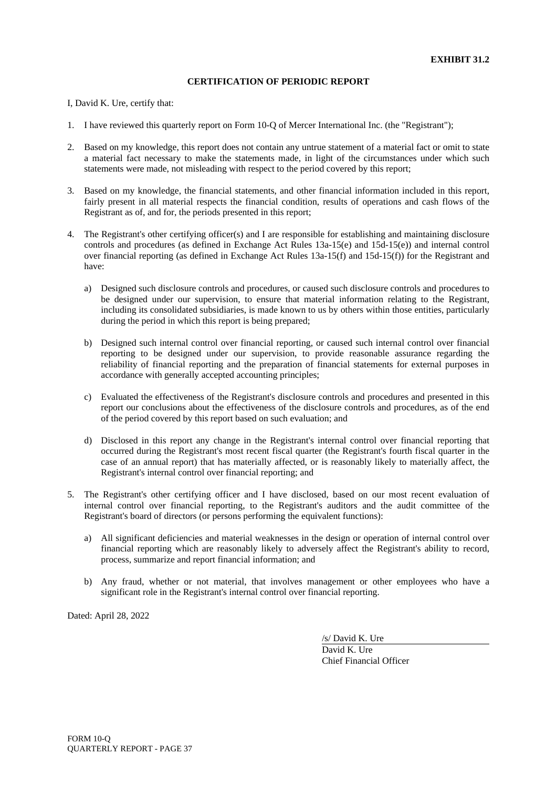I, David K. Ure, certify that:

- 1. I have reviewed this quarterly report on Form 10-Q of Mercer International Inc. (the "Registrant");
- 2. Based on my knowledge, this report does not contain any untrue statement of a material fact or omit to state a material fact necessary to make the statements made, in light of the circumstances under which such statements were made, not misleading with respect to the period covered by this report;
- 3. Based on my knowledge, the financial statements, and other financial information included in this report, fairly present in all material respects the financial condition, results of operations and cash flows of the Registrant as of, and for, the periods presented in this report;
- 4. The Registrant's other certifying officer(s) and I are responsible for establishing and maintaining disclosure controls and procedures (as defined in Exchange Act Rules 13a-15(e) and 15d-15(e)) and internal control over financial reporting (as defined in Exchange Act Rules 13a-15(f) and 15d-15(f)) for the Registrant and have:
	- a) Designed such disclosure controls and procedures, or caused such disclosure controls and procedures to be designed under our supervision, to ensure that material information relating to the Registrant, including its consolidated subsidiaries, is made known to us by others within those entities, particularly during the period in which this report is being prepared;
	- b) Designed such internal control over financial reporting, or caused such internal control over financial reporting to be designed under our supervision, to provide reasonable assurance regarding the reliability of financial reporting and the preparation of financial statements for external purposes in accordance with generally accepted accounting principles;
	- c) Evaluated the effectiveness of the Registrant's disclosure controls and procedures and presented in this report our conclusions about the effectiveness of the disclosure controls and procedures, as of the end of the period covered by this report based on such evaluation; and
	- d) Disclosed in this report any change in the Registrant's internal control over financial reporting that occurred during the Registrant's most recent fiscal quarter (the Registrant's fourth fiscal quarter in the case of an annual report) that has materially affected, or is reasonably likely to materially affect, the Registrant's internal control over financial reporting; and
- 5. The Registrant's other certifying officer and I have disclosed, based on our most recent evaluation of internal control over financial reporting, to the Registrant's auditors and the audit committee of the Registrant's board of directors (or persons performing the equivalent functions):
	- a) All significant deficiencies and material weaknesses in the design or operation of internal control over financial reporting which are reasonably likely to adversely affect the Registrant's ability to record, process, summarize and report financial information; and
	- b) Any fraud, whether or not material, that involves management or other employees who have a significant role in the Registrant's internal control over financial reporting.

Dated: April 28, 2022

/s/ David K. Ure

David K. Ure Chief Financial Officer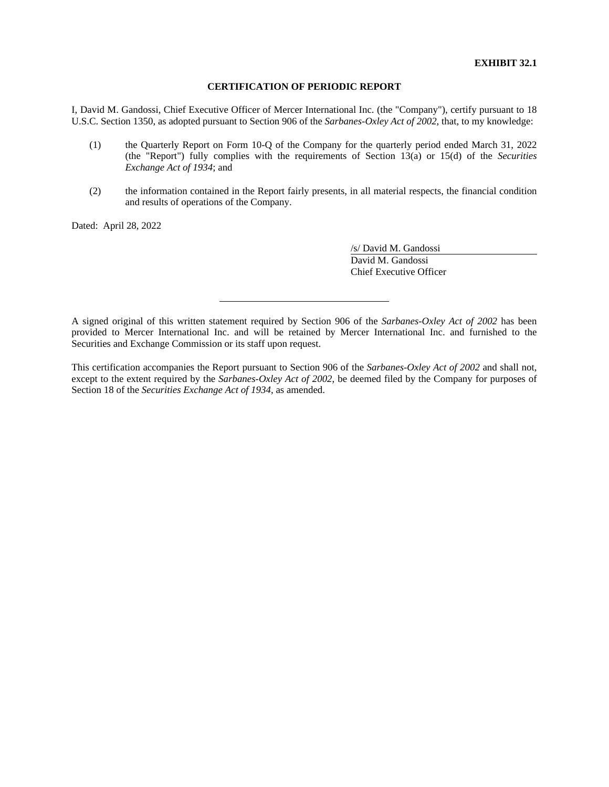I, David M. Gandossi, Chief Executive Officer of Mercer International Inc. (the "Company"), certify pursuant to 18 U.S.C. Section 1350, as adopted pursuant to Section 906 of the *Sarbanes-Oxley Act of 2002*, that, to my knowledge:

- (1) the Quarterly Report on Form 10-Q of the Company for the quarterly period ended March 31, 2022 (the "Report") fully complies with the requirements of Section 13(a) or 15(d) of the *Securities Exchange Act of 1934*; and
- (2) the information contained in the Report fairly presents, in all material respects, the financial condition and results of operations of the Company.

Dated: April 28, 2022

/s/ David M. Gandossi David M. Gandossi Chief Executive Officer

A signed original of this written statement required by Section 906 of the *Sarbanes-Oxley Act of 2002* has been provided to Mercer International Inc. and will be retained by Mercer International Inc. and furnished to the Securities and Exchange Commission or its staff upon request.

This certification accompanies the Report pursuant to Section 906 of the *Sarbanes-Oxley Act of 2002* and shall not, except to the extent required by the *Sarbanes-Oxley Act of 2002*, be deemed filed by the Company for purposes of Section 18 of the *Securities Exchange Act of 1934*, as amended.